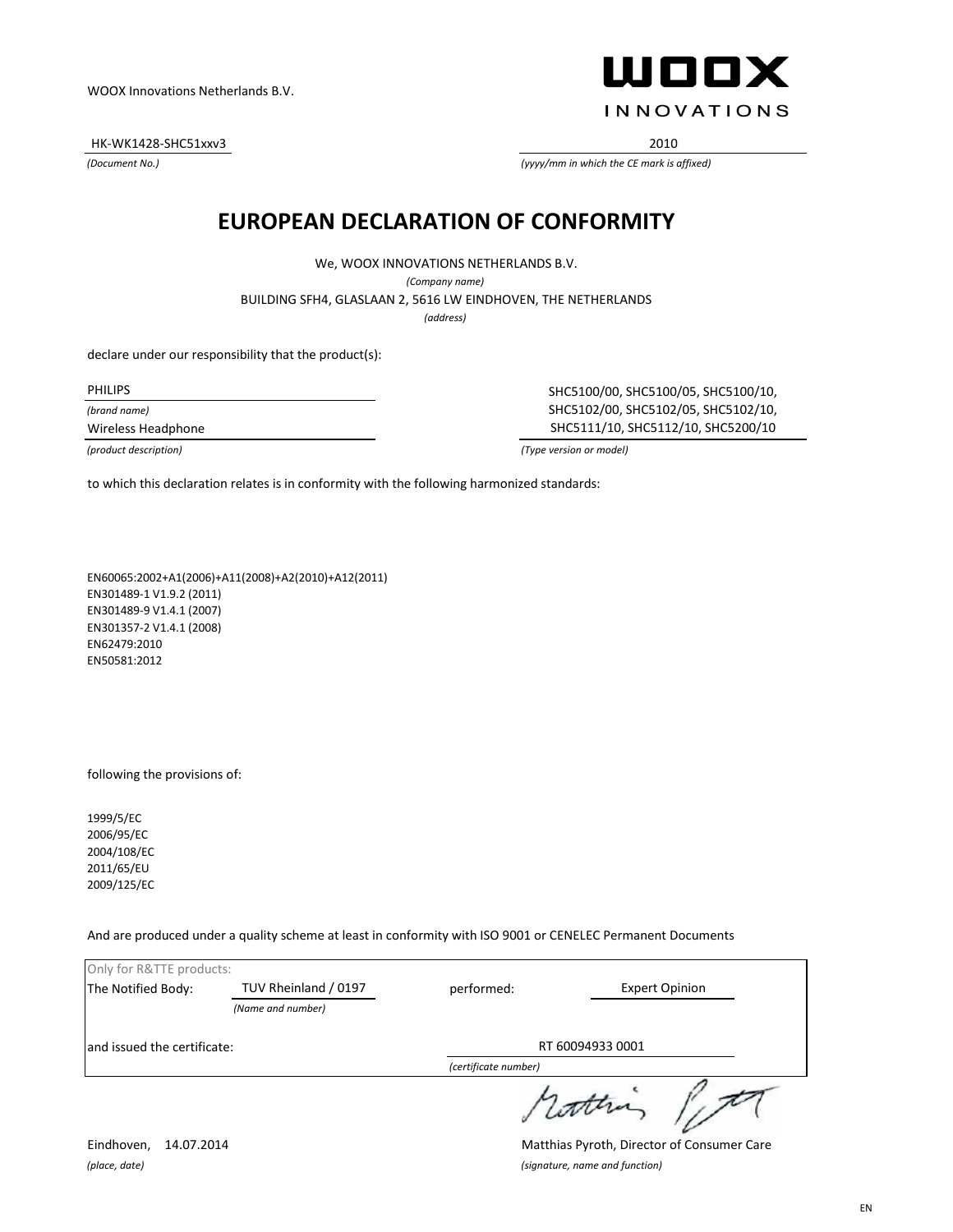HK-WK1428-SHC51xxv3 2010

*(Document No.)*

ШООХ **INNOVATIONS** 

*(yyyy/mm in which the CE mark is affixed)*

#### **EUROPEAN DECLARATION OF CONFORMITY**

We, WOOX INNOVATIONS NETHERLANDS B.V.

*(Company name)*

BUILDING SFH4, GLASLAAN 2, 5616 LW EINDHOVEN, THE NETHERLANDS

*(address)*

declare under our responsibility that the product(s):

PHILIPS

*(brand name)*

Wireless Headphone

SHC5100/00, SHC5100/05, SHC5100/10, SHC5102/00, SHC5102/05, SHC5102/10, SHC5111/10, SHC5112/10, SHC5200/10

*(product description) (Type version or model)*

to which this declaration relates is in conformity with the following harmonized standards:

EN60065:2002+A1(2006)+A11(2008)+A2(2010)+A12(2011) EN301489-1 V1.9.2 (2011) EN301489-9 V1.4.1 (2007) EN301357-2 V1.4.1 (2008) EN62479:2010 EN50581:2012

following the provisions of:

1999/5/EC 2006/95/EC 2004/108/EC 2011/65/EU 2009/125/EC

And are produced under a quality scheme at least in conformity with ISO 9001 or CENELEC Permanent Documents

| Only for R&TTE products:    |                      |                      |                       |
|-----------------------------|----------------------|----------------------|-----------------------|
| The Notified Body:          | TUV Rheinland / 0197 | performed:           | <b>Expert Opinion</b> |
|                             | (Name and number)    |                      |                       |
| and issued the certificate: |                      | RT 60094933 0001     |                       |
|                             |                      | (certificate number) |                       |
|                             |                      |                      | 1 contra              |

Eindhoven, 14.07.2014 Matthias Pyroth, Director of Consumer Care *(place, date) (signature, name and function)*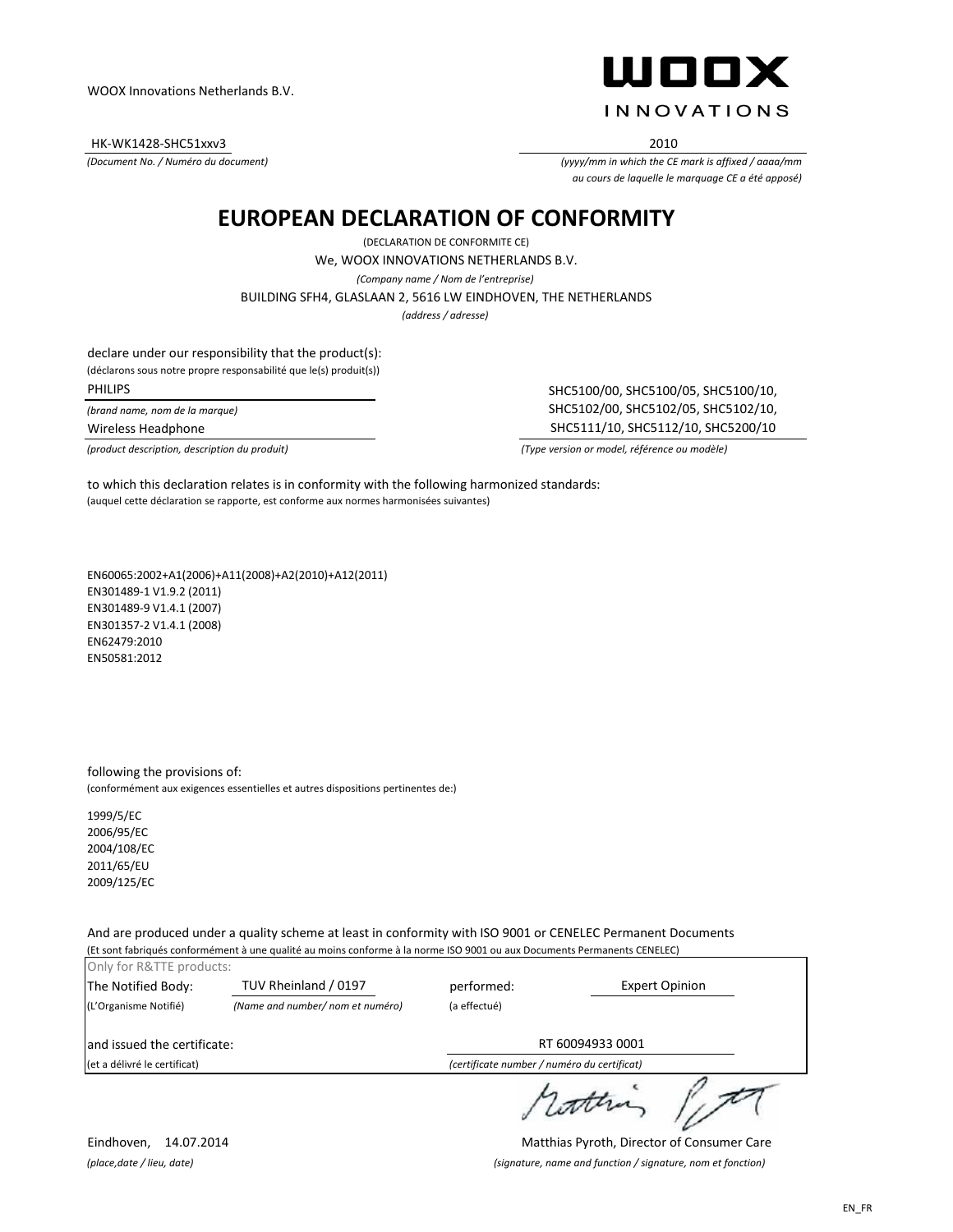HK-WK1428-SHC51xxv3 2010

*(Document No. / Numéro du document)*

ШООХ **INNOVATIONS** 

*(yyyy/mm in which the CE mark is affixed / aaaa/mm au cours de laquelle le marquage CE a été apposé)*

#### **EUROPEAN DECLARATION OF CONFORMITY**

We, WOOX INNOVATIONS NETHERLANDS B.V. *(Company name / Nom de l'entreprise)* (DECLARATION DE CONFORMITE CE) *(address / adresse)* BUILDING SFH4, GLASLAAN 2, 5616 LW EINDHOVEN, THE NETHERLANDS

declare under our responsibility that the product(s):

(déclarons sous notre propre responsabilité que le(s) produit(s))

PHILIPS

*(brand name, nom de la marque)*

Wireless Headphone

*(product description, description du produit) (Type version or model, référence ou modèle)*

SHC5100/00, SHC5100/05, SHC5100/10, SHC5102/00, SHC5102/05, SHC5102/10, SHC5111/10, SHC5112/10, SHC5200/10

(auquel cette déclaration se rapporte, est conforme aux normes harmonisées suivantes) to which this declaration relates is in conformity with the following harmonized standards:

EN60065:2002+A1(2006)+A11(2008)+A2(2010)+A12(2011) EN301489-1 V1.9.2 (2011) EN301489-9 V1.4.1 (2007) EN301357-2 V1.4.1 (2008) EN62479:2010 EN50581:2012

following the provisions of: (conformément aux exigences essentielles et autres dispositions pertinentes de:)

1999/5/EC 2006/95/EC 2004/108/EC 2011/65/EU 2009/125/EC

And are produced under a quality scheme at least in conformity with ISO 9001 or CENELEC Permanent Documents (Et sont fabriqués conformément à une qualité au moins conforme à la norme ISO 9001 ou aux Documents Permanents CENELEC)

| Only for R&TTE products:     |                                 |                                             |                       |
|------------------------------|---------------------------------|---------------------------------------------|-----------------------|
| The Notified Body:           | TUV Rheinland / 0197            | performed:                                  | <b>Expert Opinion</b> |
| (L'Organisme Notifié)        | (Name and number/nom et numéro) | (a effectué)                                |                       |
| and issued the certificate:  |                                 |                                             | RT 60094933 0001      |
| (et a délivré le certificat) |                                 | (certificate number / numéro du certificat) |                       |
|                              |                                 |                                             |                       |

rather life

Eindhoven, 14.07.2014 Matthias Pyroth, Director of Consumer Care *(place,date / lieu, date) (signature, name and function / signature, nom et fonction)*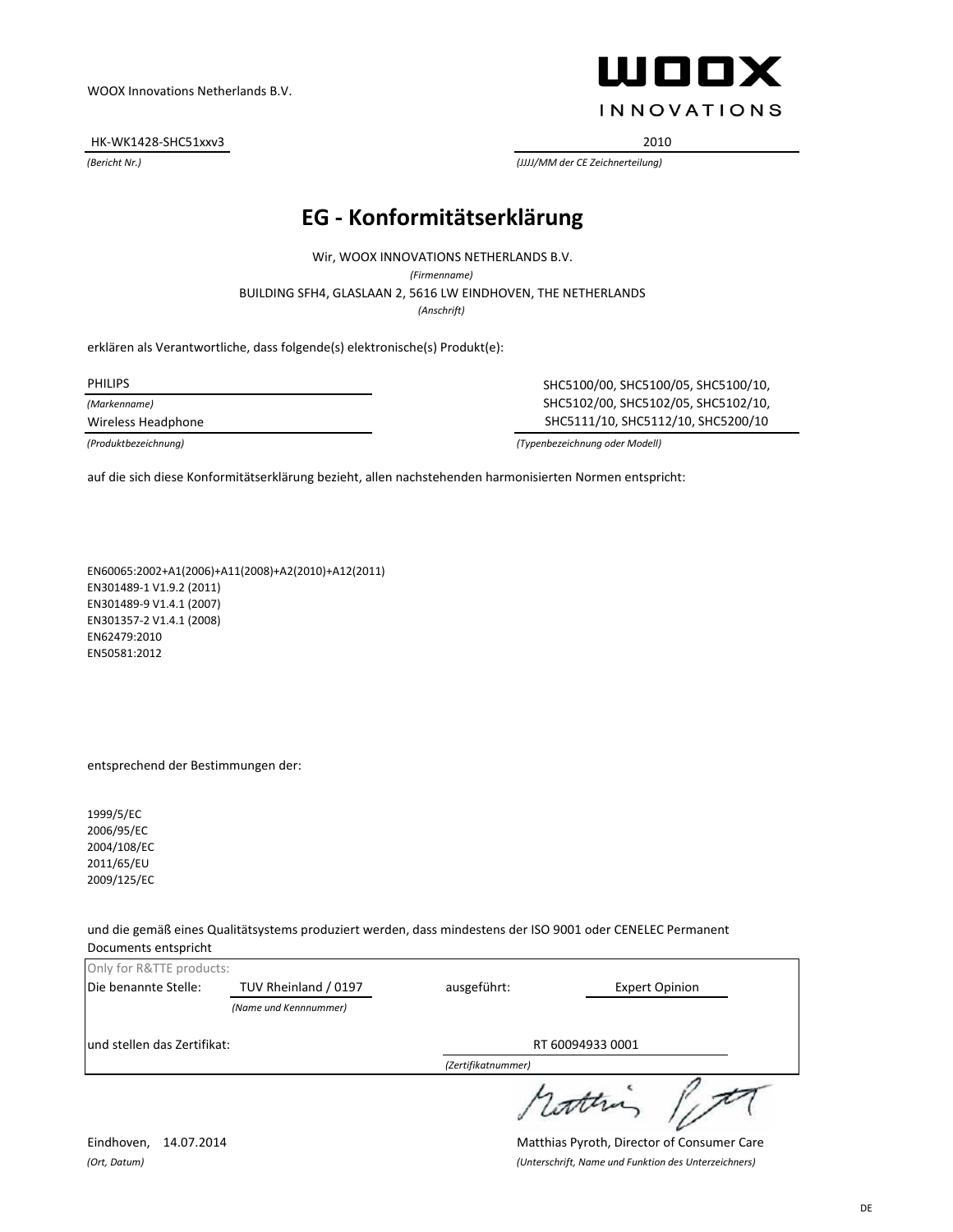HK-WK1428-SHC51xxv3 2010

ШООХ **INNOVATIONS** 

*(Bericht Nr.) (JJJJ/MM der CE Zeichnerteilung)*

### **EG - Konformitätserklärung**

BUILDING SFH4, GLASLAAN 2, 5616 LW EINDHOVEN, THE NETHERLANDS Wir, WOOX INNOVATIONS NETHERLANDS B.V. *(Firmenname) (Anschrift)*

erklären als Verantwortliche, dass folgende(s) elektronische(s) Produkt(e):

PHILIPS

*(Markenname)*

Wireless Headphone

SHC5100/00, SHC5100/05, SHC5100/10, SHC5102/00, SHC5102/05, SHC5102/10, SHC5111/10, SHC5112/10, SHC5200/10

*(Produktbezeichnung) (Typenbezeichnung oder Modell)*

auf die sich diese Konformitätserklärung bezieht, allen nachstehenden harmonisierten Normen entspricht:

EN60065:2002+A1(2006)+A11(2008)+A2(2010)+A12(2011) EN301489-1 V1.9.2 (2011) EN301489-9 V1.4.1 (2007) EN301357-2 V1.4.1 (2008) EN62479:2010 EN50581:2012

#### entsprechend der Bestimmungen der:

1999/5/EC 2006/95/EC 2004/108/EC 2011/65/EU 2009/125/EC

und die gemäß eines Qualitätsystems produziert werden, dass mindestens der ISO 9001 oder CENELEC Permanent Documents entspricht

| Only for R&TTE products:    |                       |                    |                       |
|-----------------------------|-----------------------|--------------------|-----------------------|
| Die benannte Stelle:        | TUV Rheinland / 0197  | ausgeführt:        | <b>Expert Opinion</b> |
|                             | (Name und Kennnummer) |                    |                       |
| und stellen das Zertifikat: |                       | RT 60094933 0001   |                       |
|                             |                       | (Zertifikatnummer) |                       |
|                             |                       |                    |                       |

Eindhoven, 14.07.2014 Matthias Pyroth, Director of Consumer Care *(Ort, Datum) (Unterschrift, Name und Funktion des Unterzeichners)*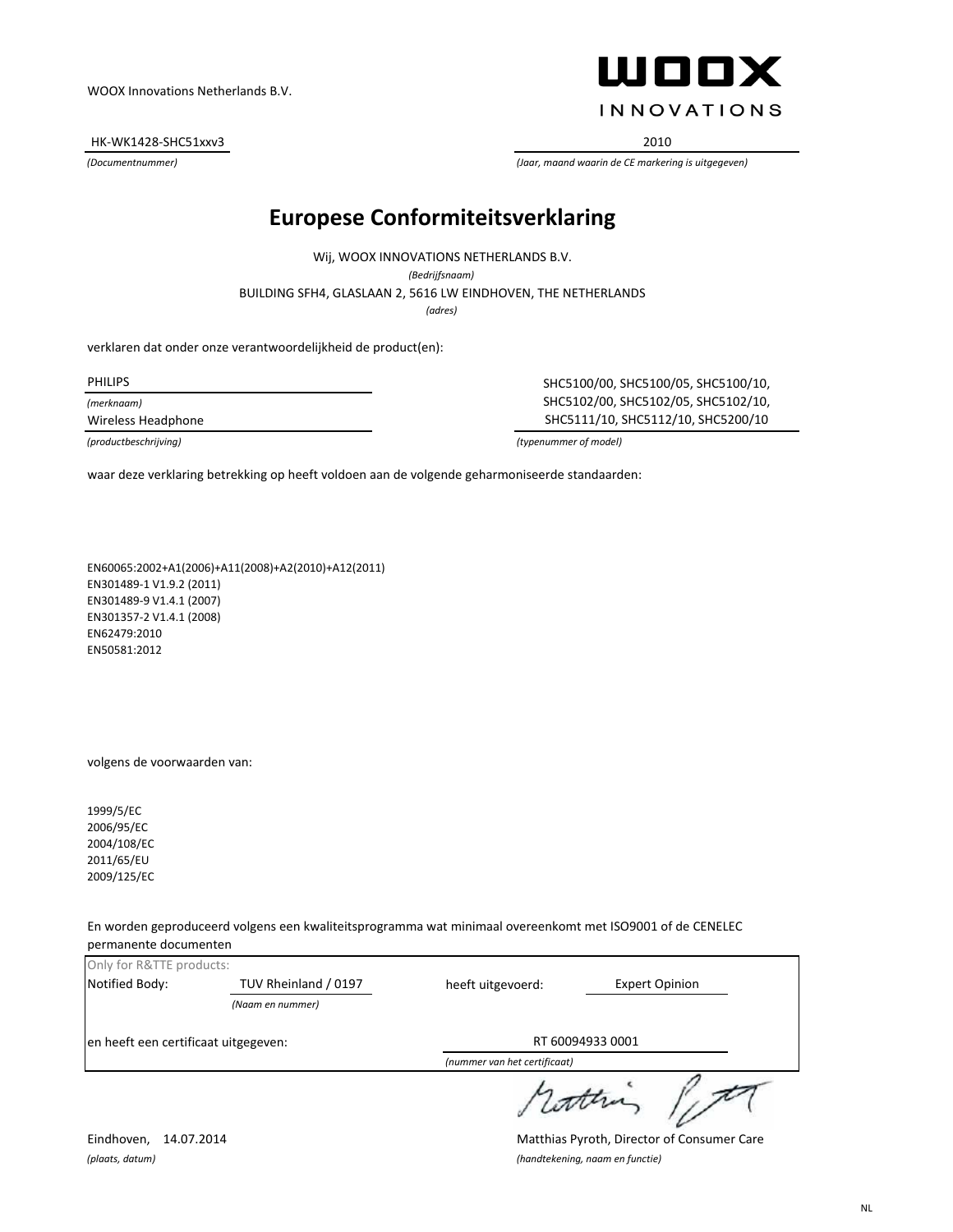HK-WK1428-SHC51xxv3 2010



*(Documentnummer) (Jaar, maand waarin de CE markering is uitgegeven)*

## **Europese Conformiteitsverklaring**

*(adres)* BUILDING SFH4, GLASLAAN 2, 5616 LW EINDHOVEN, THE NETHERLANDS Wij, WOOX INNOVATIONS NETHERLANDS B.V. *(Bedrijfsnaam)*

verklaren dat onder onze verantwoordelijkheid de product(en):

*(merknaam)*

PHILIPS SHC5100/00, SHC5100/05, SHC5100/10, SHC5102/00, SHC5102/05, SHC5102/10, Wireless Headphone SHC5111/10, SHC5112/10, SHC5200/10

*(productbeschrijving) (typenummer of model)*

waar deze verklaring betrekking op heeft voldoen aan de volgende geharmoniseerde standaarden:

EN60065:2002+A1(2006)+A11(2008)+A2(2010)+A12(2011) EN301489-1 V1.9.2 (2011) EN301489-9 V1.4.1 (2007) EN301357-2 V1.4.1 (2008) EN62479:2010 EN50581:2012

volgens de voorwaarden van:

1999/5/EC 2006/95/EC 2004/108/EC 2011/65/EU 2009/125/EC

En worden geproduceerd volgens een kwaliteitsprogramma wat minimaal overeenkomt met ISO9001 of de CENELEC permanente documenten

| Only for R&TTE products:             |                      |                              |                       |
|--------------------------------------|----------------------|------------------------------|-----------------------|
| Notified Body:                       | TUV Rheinland / 0197 | heeft uitgevoerd:            | <b>Expert Opinion</b> |
|                                      | (Naam en nummer)     |                              |                       |
| en heeft een certificaat uitgegeven: |                      |                              | RT 60094933 0001      |
|                                      |                      | (nummer van het certificaat) |                       |
|                                      |                      |                              |                       |

Eindhoven, 14.07.2014 Matthias Pyroth, Director of Consumer Care *(plaats, datum) (handtekening, naam en functie)*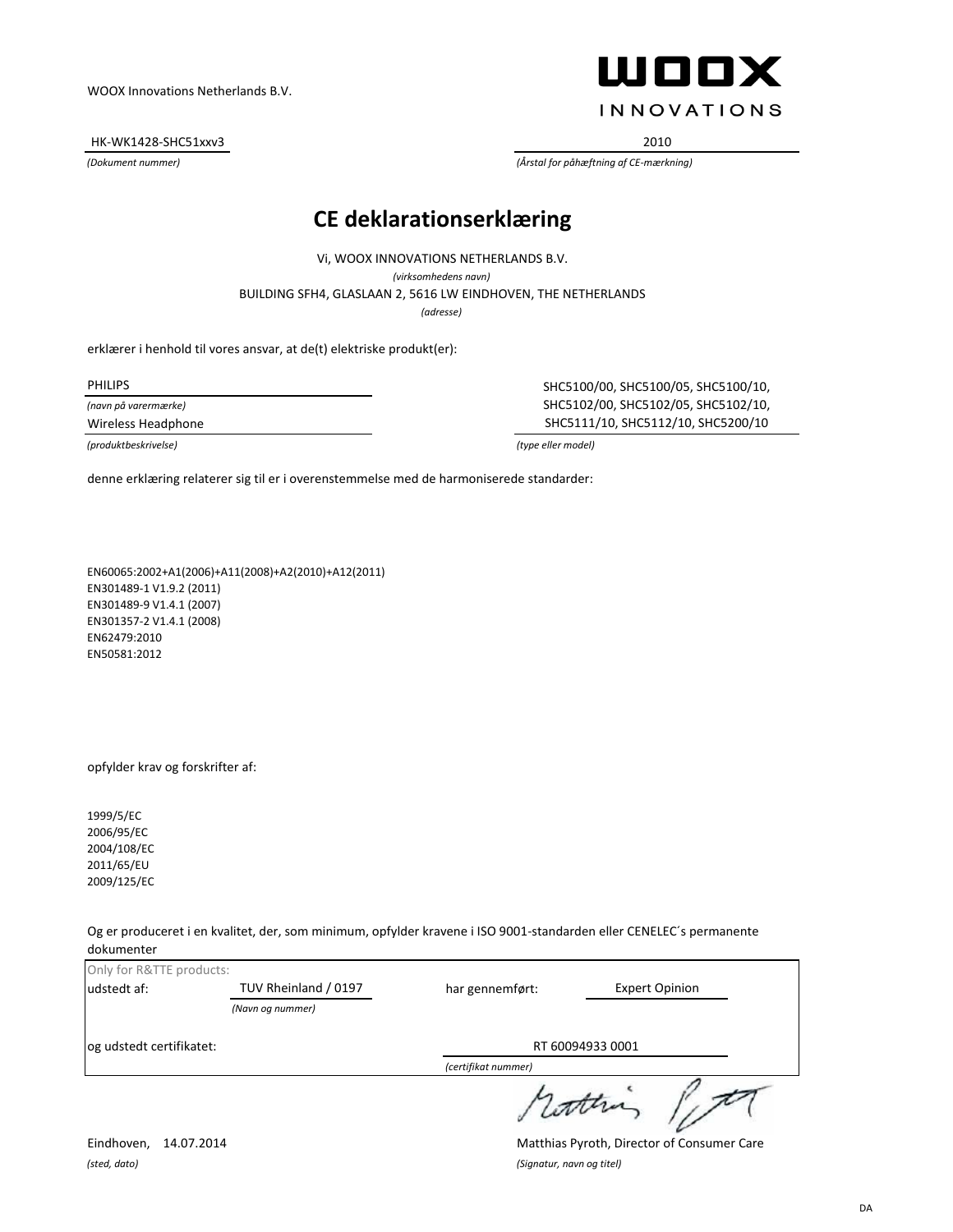HK-WK1428-SHC51xxv3 2010



*(Dokument nummer) (Årstal for påhæftning af CE-mærkning)*

#### **CE deklarationserklæring**

BUILDING SFH4, GLASLAAN 2, 5616 LW EINDHOVEN, THE NETHERLANDS Vi, WOOX INNOVATIONS NETHERLANDS B.V. *(virksomhedens navn) (adresse)*

erklærer i henhold til vores ansvar, at de(t) elektriske produkt(er):

*(navn på varermærke)*

*(produktbeskrivelse) (type eller model)*

PHILIPS SHC5100/00, SHC5100/05, SHC5100/10, SHC5102/00, SHC5102/05, SHC5102/10, Wireless Headphone SHC5111/10, SHC5112/10, SHC5200/10

denne erklæring relaterer sig til er i overenstemmelse med de harmoniserede standarder:

EN60065:2002+A1(2006)+A11(2008)+A2(2010)+A12(2011) EN301489-1 V1.9.2 (2011) EN301489-9 V1.4.1 (2007) EN301357-2 V1.4.1 (2008) EN62479:2010 EN50581:2012

opfylder krav og forskrifter af:

1999/5/EC 2006/95/EC 2004/108/EC 2011/65/EU 2009/125/EC

Og er produceret i en kvalitet, der, som minimum, opfylder kravene i ISO 9001-standarden eller CENELEC´s permanente dokumenter

| Only for R&TTE products: |                      |                     |                       |
|--------------------------|----------------------|---------------------|-----------------------|
| udstedt af:              | TUV Rheinland / 0197 | har gennemført:     | <b>Expert Opinion</b> |
|                          | (Navn og nummer)     |                     |                       |
| og udstedt certifikatet: |                      | RT 60094933 0001    |                       |
|                          |                      | (certifikat nummer) |                       |
|                          |                      |                     | 1 comma               |

*(sted, dato) (Signatur, navn og titel)*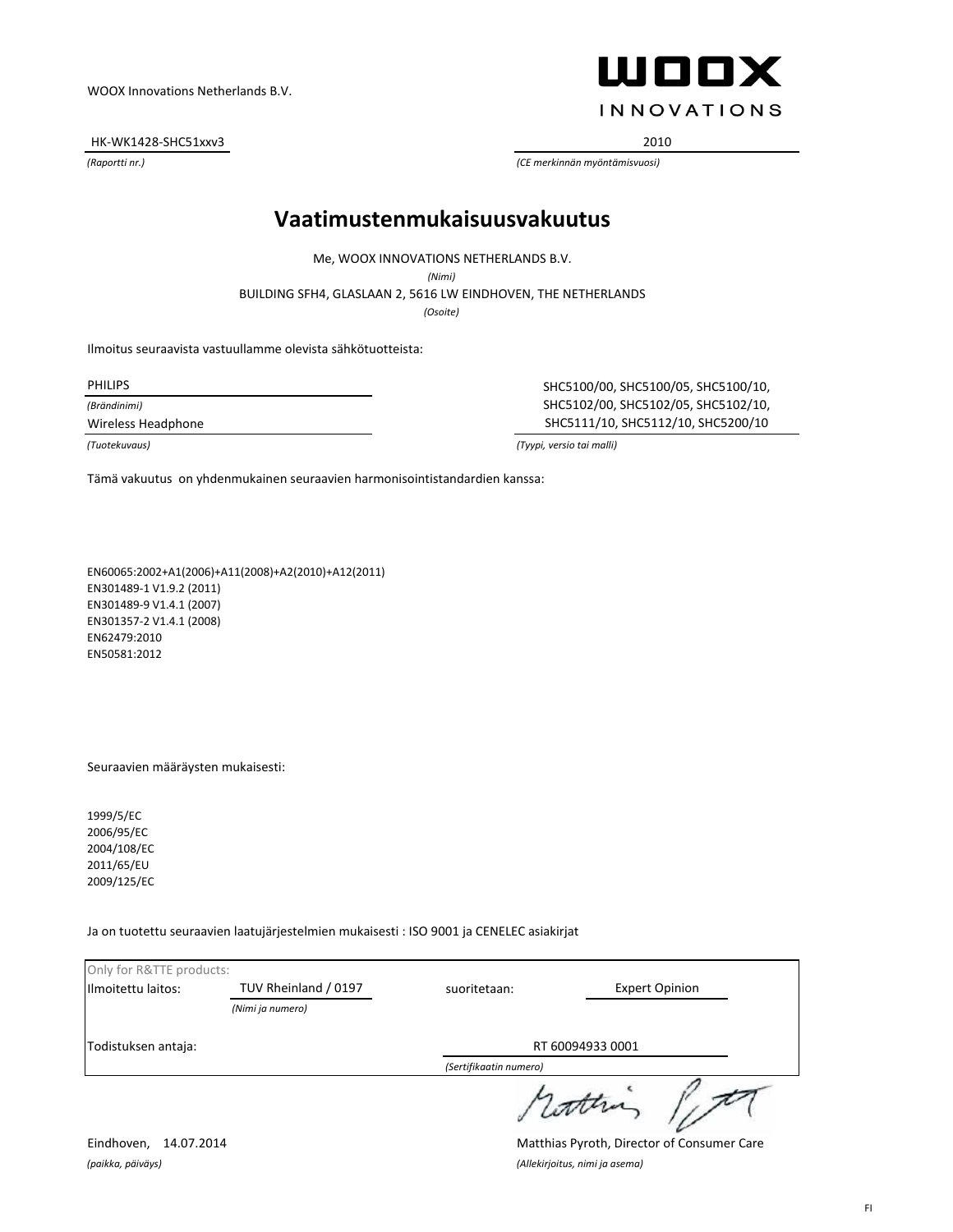HK-WK1428-SHC51xxv3 2010

ШООХ **INNOVATIONS** 

*(Raportti nr.) (CE merkinnän myöntämisvuosi)*

#### **Vaatimustenmukaisuusvakuutus**

Me, WOOX INNOVATIONS NETHERLANDS B.V.

*(Nimi)*

BUILDING SFH4, GLASLAAN 2, 5616 LW EINDHOVEN, THE NETHERLANDS

*(Osoite)*

Ilmoitus seuraavista vastuullamme olevista sähkötuotteista:

*(Brändinimi)*

PHILIPS SHC5100/00, SHC5100/05, SHC5100/10, SHC5102/00, SHC5102/05, SHC5102/10, Wireless Headphone SHC5111/10, SHC5112/10, SHC5200/10

*(Tuotekuvaus) (Tyypi, versio tai malli)*

Tämä vakuutus on yhdenmukainen seuraavien harmonisointistandardien kanssa:

EN60065:2002+A1(2006)+A11(2008)+A2(2010)+A12(2011) EN301489-1 V1.9.2 (2011) EN301489-9 V1.4.1 (2007) EN301357-2 V1.4.1 (2008) EN62479:2010 EN50581:2012

Seuraavien määräysten mukaisesti:

1999/5/EC 2006/95/EC 2004/108/EC 2011/65/EU 2009/125/EC

Ja on tuotettu seuraavien laatujärjestelmien mukaisesti : ISO 9001 ja CENELEC asiakirjat

| Only for R&TTE products: |                      |                        |                       |
|--------------------------|----------------------|------------------------|-----------------------|
| Ilmoitettu laitos:       | TUV Rheinland / 0197 | suoritetaan:           | <b>Expert Opinion</b> |
|                          | (Nimi ja numero)     |                        |                       |
| Todistuksen antaja:      |                      | RT 60094933 0001       |                       |
|                          |                      | (Sertifikaatin numero) |                       |
|                          |                      |                        | 1 latter              |

*(paikka, päiväys) (Allekirjoitus, nimi ja asema)*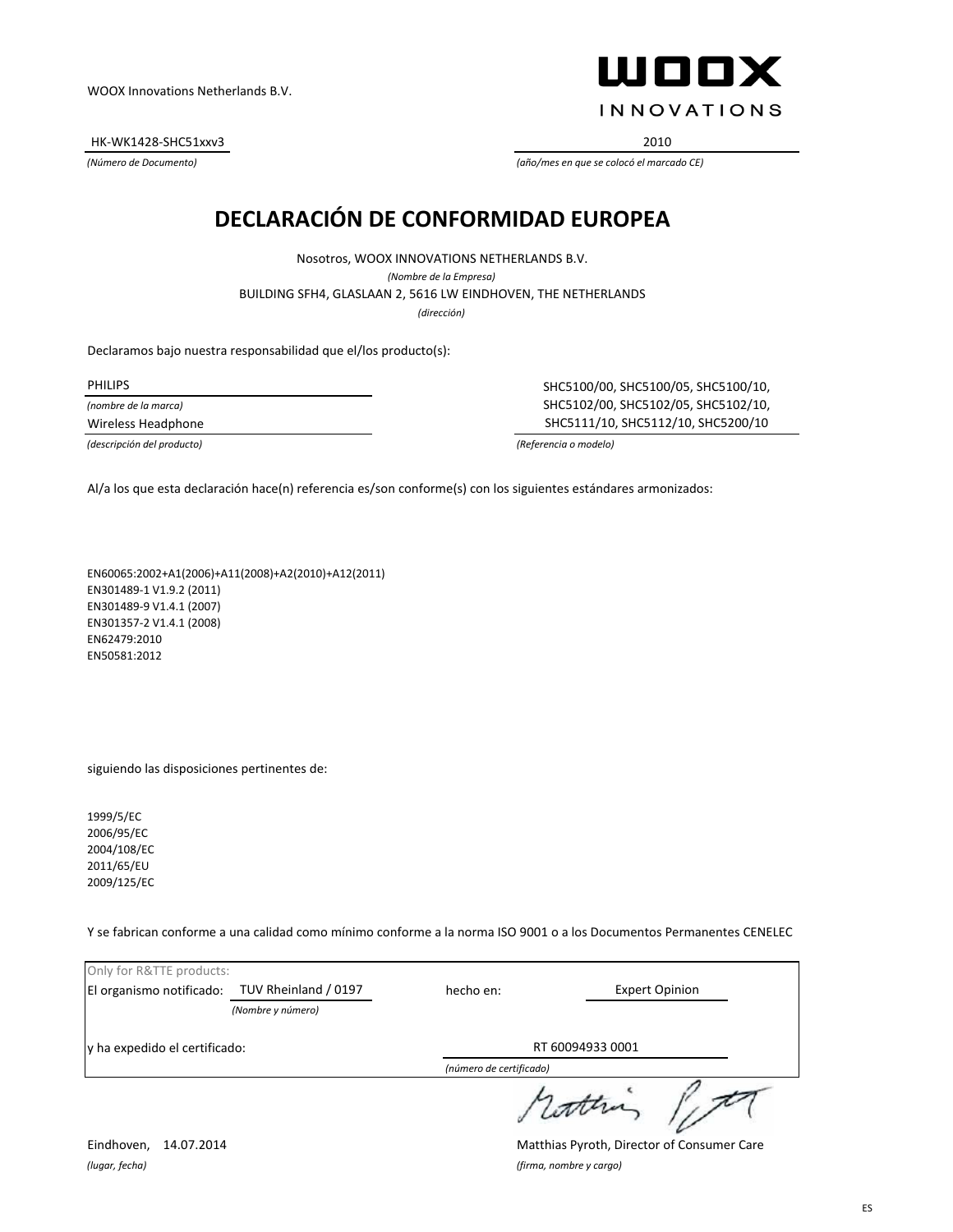HK-WK1428-SHC51xxv3 2010

ШООХ **INNOVATIONS** 

*(Número de Documento) (año/mes en que se colocó el marcado CE)*

## **DECLARACIÓN DE CONFORMIDAD EUROPEA**

BUILDING SFH4, GLASLAAN 2, 5616 LW EINDHOVEN, THE NETHERLANDS Nosotros, WOOX INNOVATIONS NETHERLANDS B.V. *(Nombre de la Empresa) (dirección)*

Declaramos bajo nuestra responsabilidad que el/los producto(s):

*(nombre de la marca)*

PHILIPS SHC5100/00, SHC5100/05, SHC5100/10, SHC5102/00, SHC5102/05, SHC5102/10, Wireless Headphone SHC5111/10, SHC5112/10, SHC5200/10

*(descripción del producto) (Referencia o modelo)*

Al/a los que esta declaración hace(n) referencia es/son conforme(s) con los siguientes estándares armonizados:

EN60065:2002+A1(2006)+A11(2008)+A2(2010)+A12(2011) EN301489-1 V1.9.2 (2011) EN301489-9 V1.4.1 (2007) EN301357-2 V1.4.1 (2008) EN62479:2010 EN50581:2012

siguiendo las disposiciones pertinentes de:

1999/5/EC 2006/95/EC 2004/108/EC 2011/65/EU 2009/125/EC

Y se fabrican conforme a una calidad como mínimo conforme a la norma ISO 9001 o a los Documentos Permanentes CENELEC

| Only for R&TTE products:      |                      |                         |                       |
|-------------------------------|----------------------|-------------------------|-----------------------|
| El organismo notificado:      | TUV Rheinland / 0197 | hecho en:               | <b>Expert Opinion</b> |
|                               | (Nombre y número)    |                         |                       |
| y ha expedido el certificado: |                      | RT 60094933 0001        |                       |
|                               |                      | (número de certificado) |                       |
|                               |                      |                         | 1 cotten              |

*(lugar, fecha) (firma, nombre y cargo)*

Eindhoven, 14.07.2014 Matthias Pyroth, Director of Consumer Care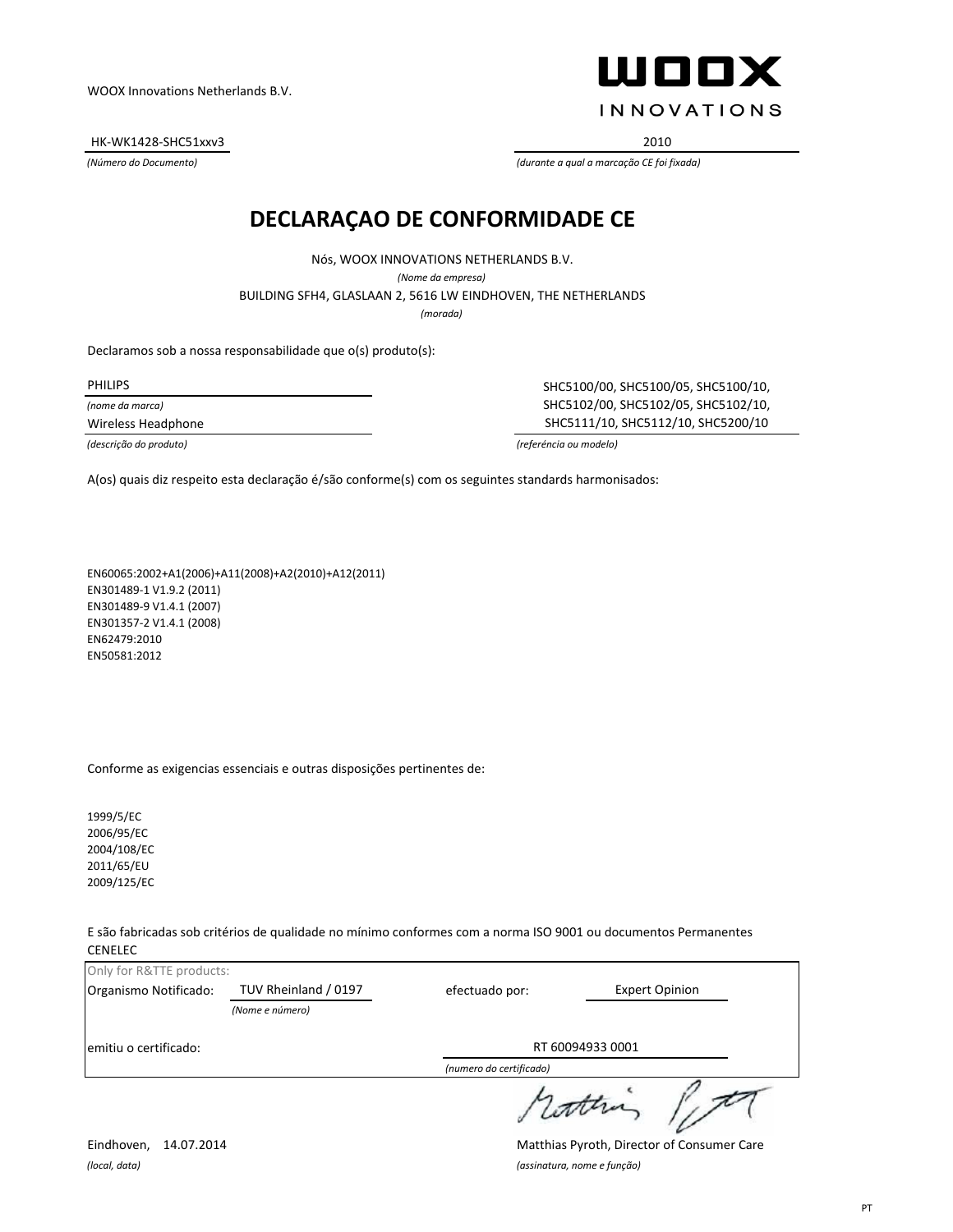HK-WK1428-SHC51xxv3 2010

WOOX **INNOVATIONS** 

*(Número do Documento) (durante a qual a marcação CE foi fixada)*

#### **DECLARAÇAO DE CONFORMIDADE CE**

Nós, WOOX INNOVATIONS NETHERLANDS B.V. *(Nome da empresa)* BUILDING SFH4, GLASLAAN 2, 5616 LW EINDHOVEN, THE NETHERLANDS *(morada)*

Declaramos sob a nossa responsabilidade que o(s) produto(s):

*(nome da marca)*

PHILIPS SHC5100/00, SHC5100/05, SHC5100/10, SHC5102/00, SHC5102/05, SHC5102/10, Wireless Headphone SHC5111/10, SHC5112/10, SHC5200/10

*(descrição do produto) (referéncia ou modelo)*

A(os) quais diz respeito esta declaração é/são conforme(s) com os seguintes standards harmonisados:

EN60065:2002+A1(2006)+A11(2008)+A2(2010)+A12(2011) EN301489-1 V1.9.2 (2011) EN301489-9 V1.4.1 (2007) EN301357-2 V1.4.1 (2008) EN62479:2010 EN50581:2012

Conforme as exigencias essenciais e outras disposições pertinentes de:

1999/5/EC 2006/95/EC 2004/108/EC 2011/65/EU 2009/125/EC

E são fabricadas sob critérios de qualidade no mínimo conformes com a norma ISO 9001 ou documentos Permanentes CENELEC

|                          |                                         | (numero do certificado) |                       |  |
|--------------------------|-----------------------------------------|-------------------------|-----------------------|--|
| emitiu o certificado:    |                                         |                         | RT 60094933 0001      |  |
| Organismo Notificado:    | TUV Rheinland / 0197<br>(Nome e número) | efectuado por:          | <b>Expert Opinion</b> |  |
| Only for R&TTE products: |                                         |                         |                       |  |

rothing light

*(local, data) (assinatura, nome e função)*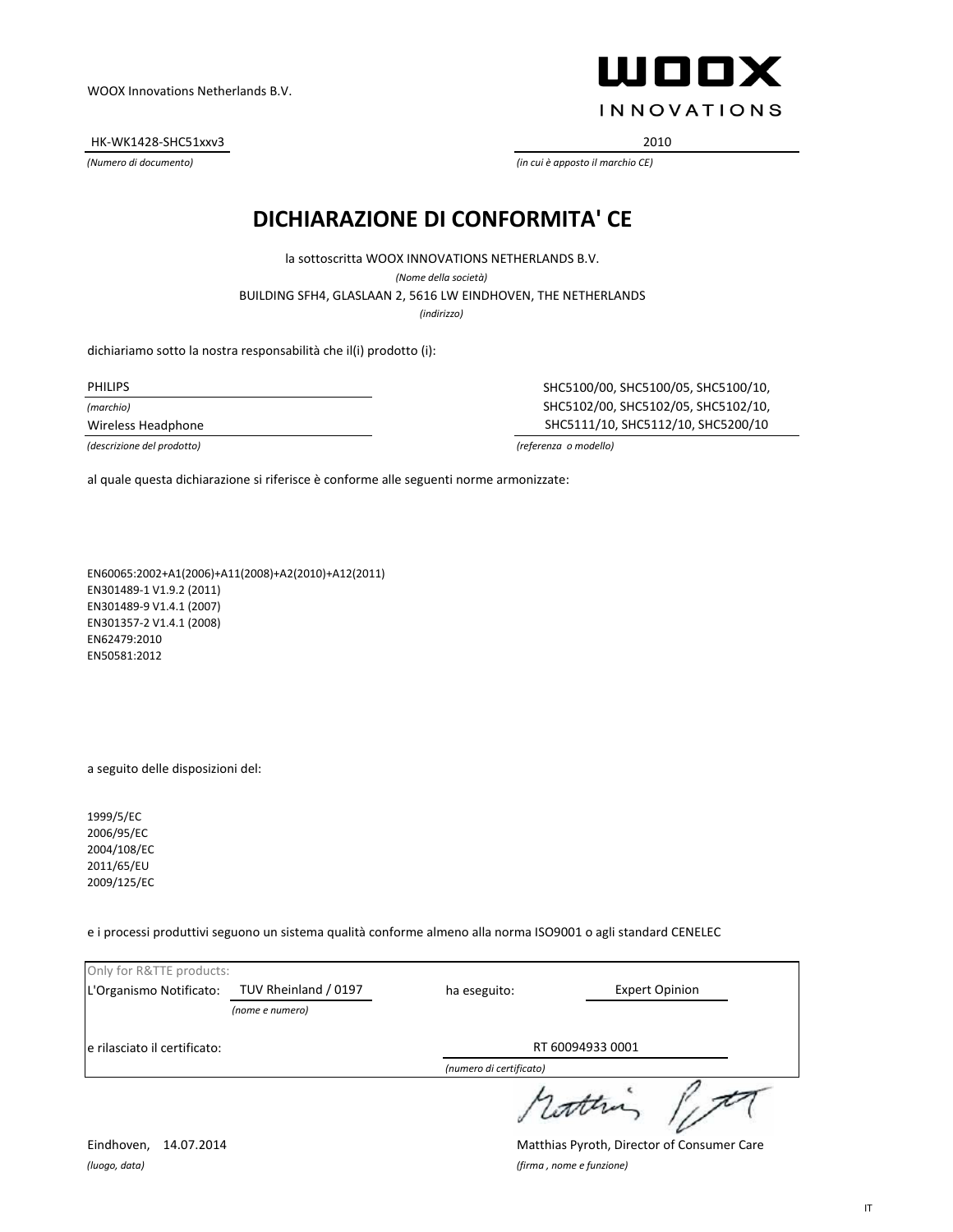HK-WK1428-SHC51xxv3 2010

ШООХ **INNOVATIONS** 

*(Numero di documento) (in cui è apposto il marchio CE)*

### **DICHIARAZIONE DI CONFORMITA' CE**

BUILDING SFH4, GLASLAAN 2, 5616 LW EINDHOVEN, THE NETHERLANDS la sottoscritta WOOX INNOVATIONS NETHERLANDS B.V. *(Nome della società)*

*(indirizzo)*

dichiariamo sotto la nostra responsabilità che il(i) prodotto (i):

PHILIPS

*(marchio)*

Wireless Headphone

SHC5100/00, SHC5100/05, SHC5100/10, SHC5102/00, SHC5102/05, SHC5102/10, SHC5111/10, SHC5112/10, SHC5200/10

*(descrizione del prodotto) (referenza o modello)*

al quale questa dichiarazione si riferisce è conforme alle seguenti norme armonizzate:

EN60065:2002+A1(2006)+A11(2008)+A2(2010)+A12(2011) EN301489-1 V1.9.2 (2011) EN301489-9 V1.4.1 (2007) EN301357-2 V1.4.1 (2008) EN62479:2010 EN50581:2012

a seguito delle disposizioni del:

1999/5/EC 2006/95/EC 2004/108/EC 2011/65/EU 2009/125/EC

e i processi produttivi seguono un sistema qualità conforme almeno alla norma ISO9001 o agli standard CENELEC

| Only for R&TTE products:     |                      |                         |                       |  |
|------------------------------|----------------------|-------------------------|-----------------------|--|
| L'Organismo Notificato:      | TUV Rheinland / 0197 | ha eseguito:            | <b>Expert Opinion</b> |  |
|                              | (nome e numero)      |                         |                       |  |
| e rilasciato il certificato: |                      | RT 60094933 0001        |                       |  |
|                              |                      | (numero di certificato) |                       |  |
|                              |                      |                         |                       |  |

*(luogo, data) (firma , nome e funzione)*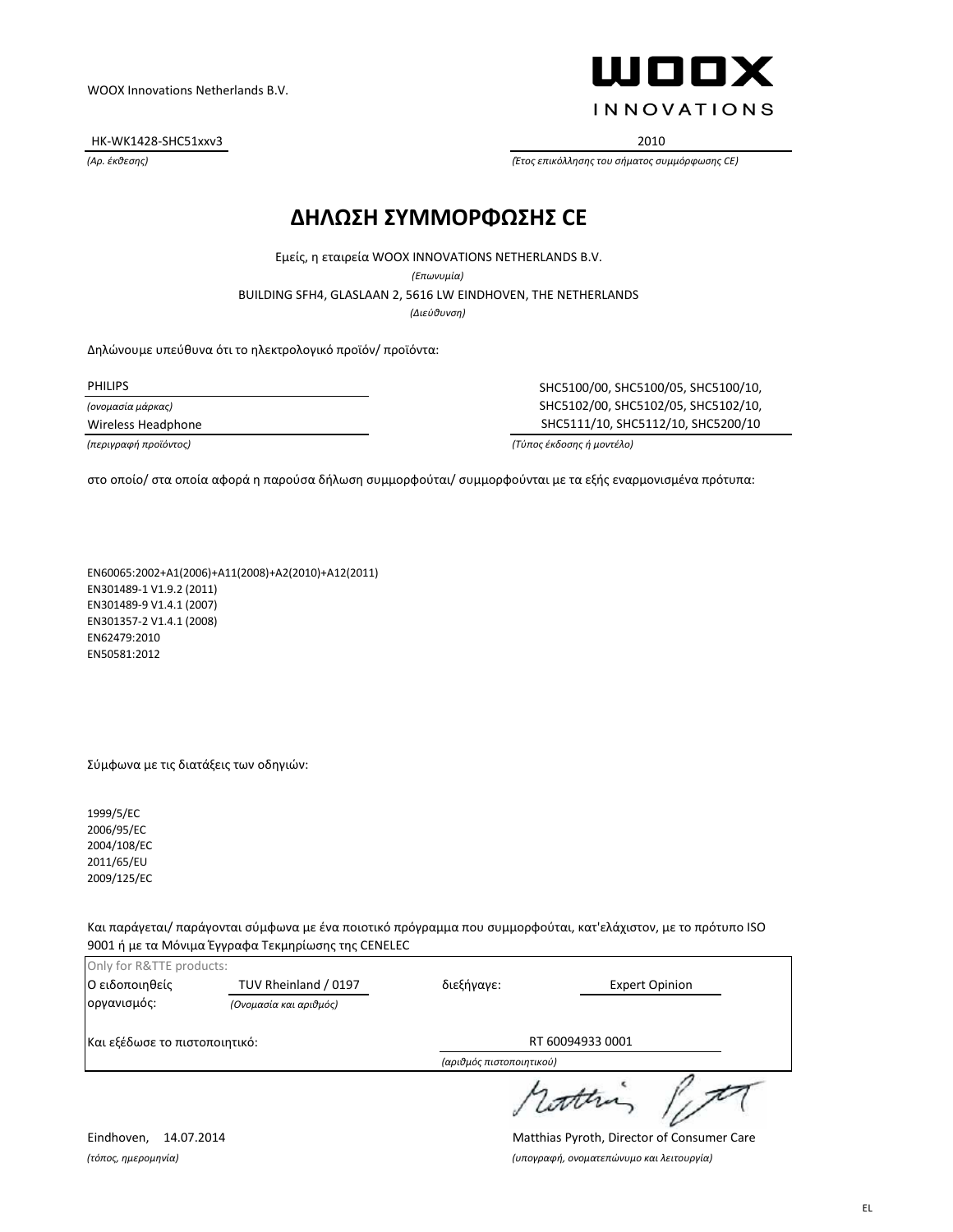HK-WK1428-SHC51xxv3 2010

ШППХ **INNOVATIONS** 

*(Αρ. έκθεσης) (Έτος επικόλλησης του σήματος συμμόρφωσης CE)*

#### **ΔΗΛΩΣΗ ΣΥΜΜΟΡΦΩΣΗΣ CE**

Εμείς, η εταιρεία WOOX INNOVATIONS NETHERLANDS B.V.

*(Επωνυμία)*

BUILDING SFH4, GLASLAAN 2, 5616 LW EINDHOVEN, THE NETHERLANDS

*(Διεύθυνση)*

Δηλώνουμε υπεύθυνα ότι το ηλεκτρολογικό προϊόν/ προϊόντα:

*(ονομασία μάρκας)*

PHILIPS SHC5100/00, SHC5100/05, SHC5100/10, SHC5102/00, SHC5102/05, SHC5102/10, Wireless Headphone SHC5111/10, SHC5112/10, SHC5200/10

*(περιγραφή προϊόντος) (Τύπος έκδοσης ή μοντέλο)*

στο οποίο/ στα οποία αφορά η παρούσα δήλωση συμμορφούται/ συμμορφούνται με τα εξής εναρμονισμένα πρότυπα:

EN60065:2002+A1(2006)+A11(2008)+A2(2010)+A12(2011) EN301489-1 V1.9.2 (2011) EN301489-9 V1.4.1 (2007) EN301357-2 V1.4.1 (2008) EN62479:2010 EN50581:2012

#### Σύμφωνα με τις διατάξεις των οδηγιών:

1999/5/EC 2006/95/EC 2004/108/EC 2011/65/EU 2009/125/EC

Και παράγεται/ παράγονται σύμφωνα με ένα ποιοτικό πρόγραμμα που συμμορφούται, κατ'ελάχιστον, με το πρότυπο ISO 9001 ή με τα Μόνιμα Έγγραφα Τεκμηρίωσης της CENELEC

| Only for R&TTE products:      |                        |                          |                       |  |
|-------------------------------|------------------------|--------------------------|-----------------------|--|
| Ο ειδοποιηθείς                | TUV Rheinland / 0197   | διεξήγαγε:               | <b>Expert Opinion</b> |  |
| οργανισμός:                   | (Ονομασία και αριθμός) |                          |                       |  |
| Και εξέδωσε το πιστοποιητικό: |                        | RT 60094933 0001         |                       |  |
|                               |                        | (αριθμός πιστοποιητικού) |                       |  |
|                               |                        |                          | winn                  |  |

Eindhoven, 14.07.2014 Matthias Pyroth, Director of Consumer Care *(τόπος, ημερομηνία) (υπογραφή, ονοματεπώνυμο και λειτουργία)*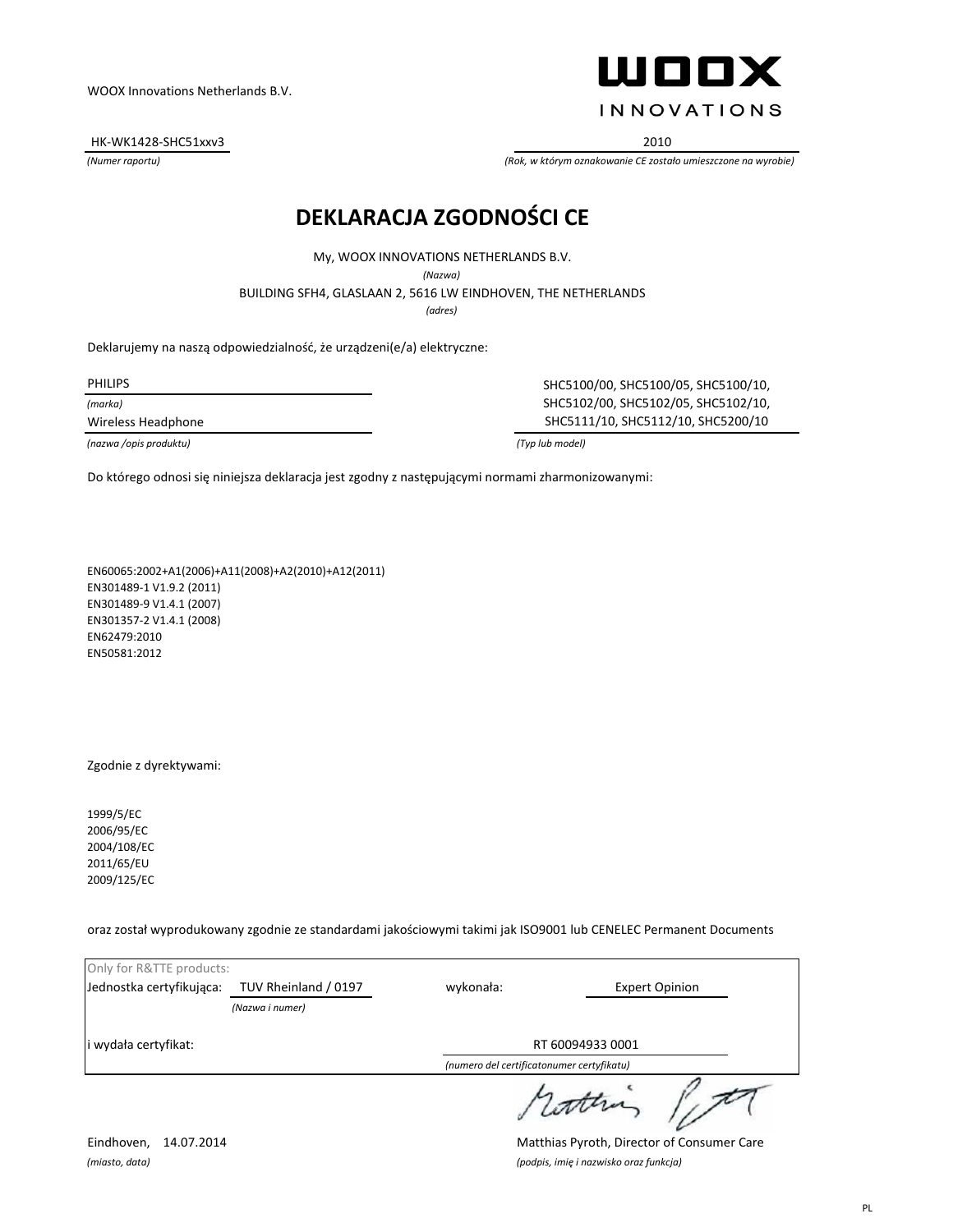HK-WK1428-SHC51xxv3 2010



*(Numer raportu) (Rok, w którym oznakowanie CE zostało umieszczone na wyrobie)*

#### **DEKLARACJA ZGODNOŚCI CE**

My, WOOX INNOVATIONS NETHERLANDS B.V.

*(Nazwa)*

BUILDING SFH4, GLASLAAN 2, 5616 LW EINDHOVEN, THE NETHERLANDS

*(adres)*

Deklarujemy na naszą odpowiedzialność, że urządzeni(e/a) elektryczne:

*(marka)*

*(nazwa /opis produktu) (Typ lub model)*

PHILIPS SHC5100/00, SHC5100/05, SHC5100/10, SHC5102/00, SHC5102/05, SHC5102/10, Wireless Headphone SHC5111/10, SHC5112/10, SHC5200/10

Do którego odnosi się niniejsza deklaracja jest zgodny z następującymi normami zharmonizowanymi:

EN60065:2002+A1(2006)+A11(2008)+A2(2010)+A12(2011) EN301489-1 V1.9.2 (2011) EN301489-9 V1.4.1 (2007) EN301357-2 V1.4.1 (2008) EN62479:2010 EN50581:2012

Zgodnie z dyrektywami:

1999/5/EC 2006/95/EC 2004/108/EC 2011/65/EU 2009/125/EC

oraz został wyprodukowany zgodnie ze standardami jakościowymi takimi jak ISO9001 lub CENELEC Permanent Documents

| Only for R&TTE products: |                      |                                           |                       |
|--------------------------|----------------------|-------------------------------------------|-----------------------|
| Jednostka certyfikująca: | TUV Rheinland / 0197 | wykonała:                                 | <b>Expert Opinion</b> |
|                          | (Nazwa i numer)      |                                           |                       |
| i wydała certyfikat:     |                      | RT 60094933 0001                          |                       |
|                          |                      | (numero del certificatonumer certyfikatu) |                       |
|                          |                      |                                           |                       |

Eindhoven, 14.07.2014 Matthias Pyroth, Director of Consumer Care *(miasto, data) (podpis, imię i nazwisko oraz funkcja)*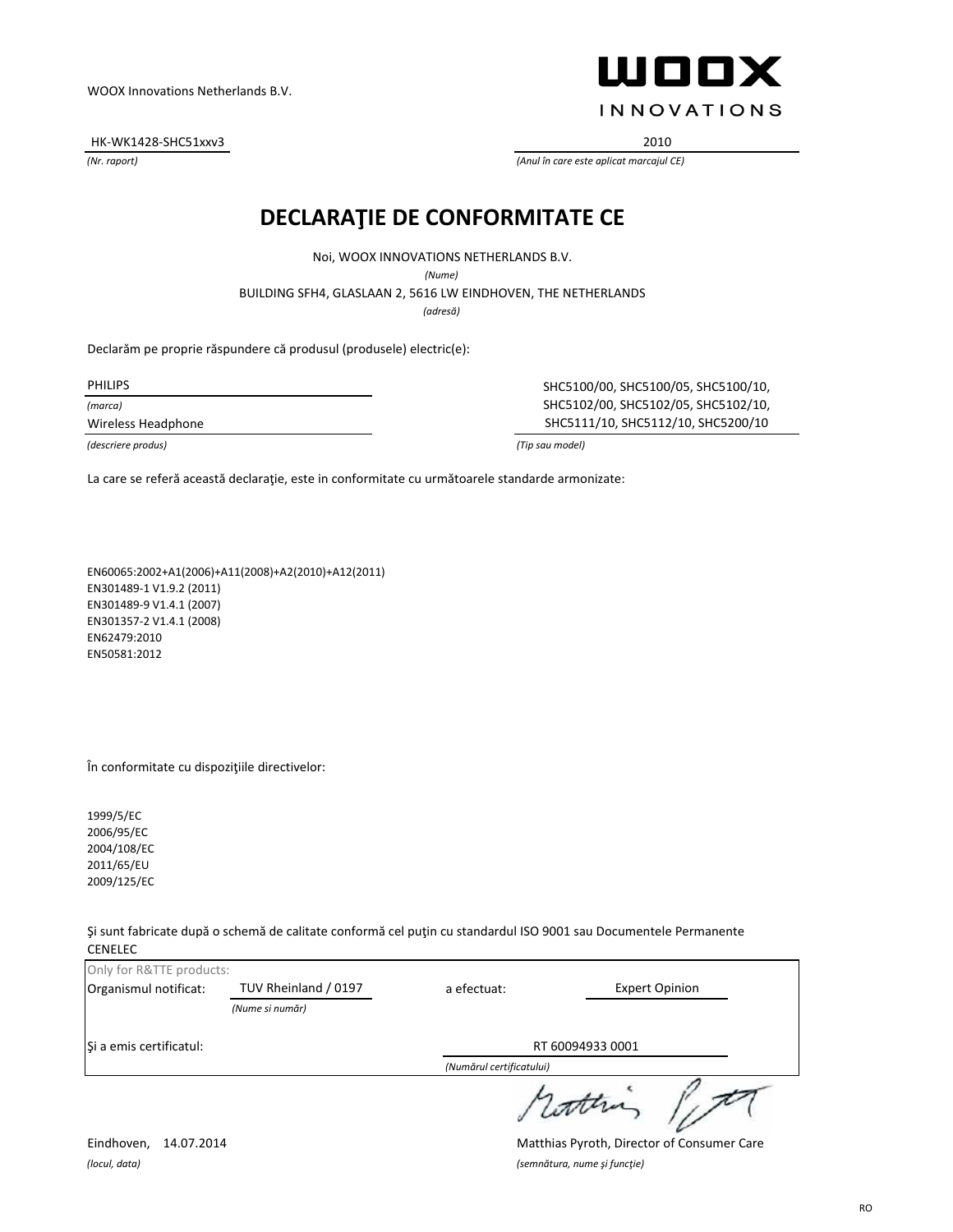HK-WK1428-SHC51xxv3 2010

ШООХ **INNOVATIONS** 

*(Nr. raport) (Anul în care este aplicat marcajul CE)*

#### **DECLARAŢIE DE CONFORMITATE CE**

Noi, WOOX INNOVATIONS NETHERLANDS B.V.

*(Nume)*

BUILDING SFH4, GLASLAAN 2, 5616 LW EINDHOVEN, THE NETHERLANDS

*(adresă)*

Declarăm pe proprie răspundere că produsul (produsele) electric(e):

*(marca)*

PHILIPS SHC5100/00, SHC5100/05, SHC5100/10, SHC5102/00, SHC5102/05, SHC5102/10, Wireless Headphone SHC5111/10, SHC5112/10, SHC5200/10

*(descriere produs) (Tip sau model)*

La care se referă această declaraţie, este in conformitate cu următoarele standarde armonizate:

EN60065:2002+A1(2006)+A11(2008)+A2(2010)+A12(2011) EN301489-1 V1.9.2 (2011) EN301489-9 V1.4.1 (2007) EN301357-2 V1.4.1 (2008) EN62479:2010 EN50581:2012

În conformitate cu dispoziţiile directivelor:

1999/5/EC 2006/95/EC 2004/108/EC 2011/65/EU 2009/125/EC

Şi sunt fabricate după o schemă de calitate conformă cel puţin cu standardul ISO 9001 sau Documentele Permanente CENELEC

| Only for R&TTE products: |                      |                          |                       |
|--------------------------|----------------------|--------------------------|-----------------------|
| Organismul notificat:    | TUV Rheinland / 0197 | a efectuat:              | <b>Expert Opinion</b> |
|                          | (Nume si număr)      |                          |                       |
| Si a emis certificatul:  |                      | RT 60094933 0001         |                       |
|                          |                      | (Numărul certificatului) |                       |
|                          |                      |                          | worther               |

*(locul, data) (semnătura, nume şi funcţie)*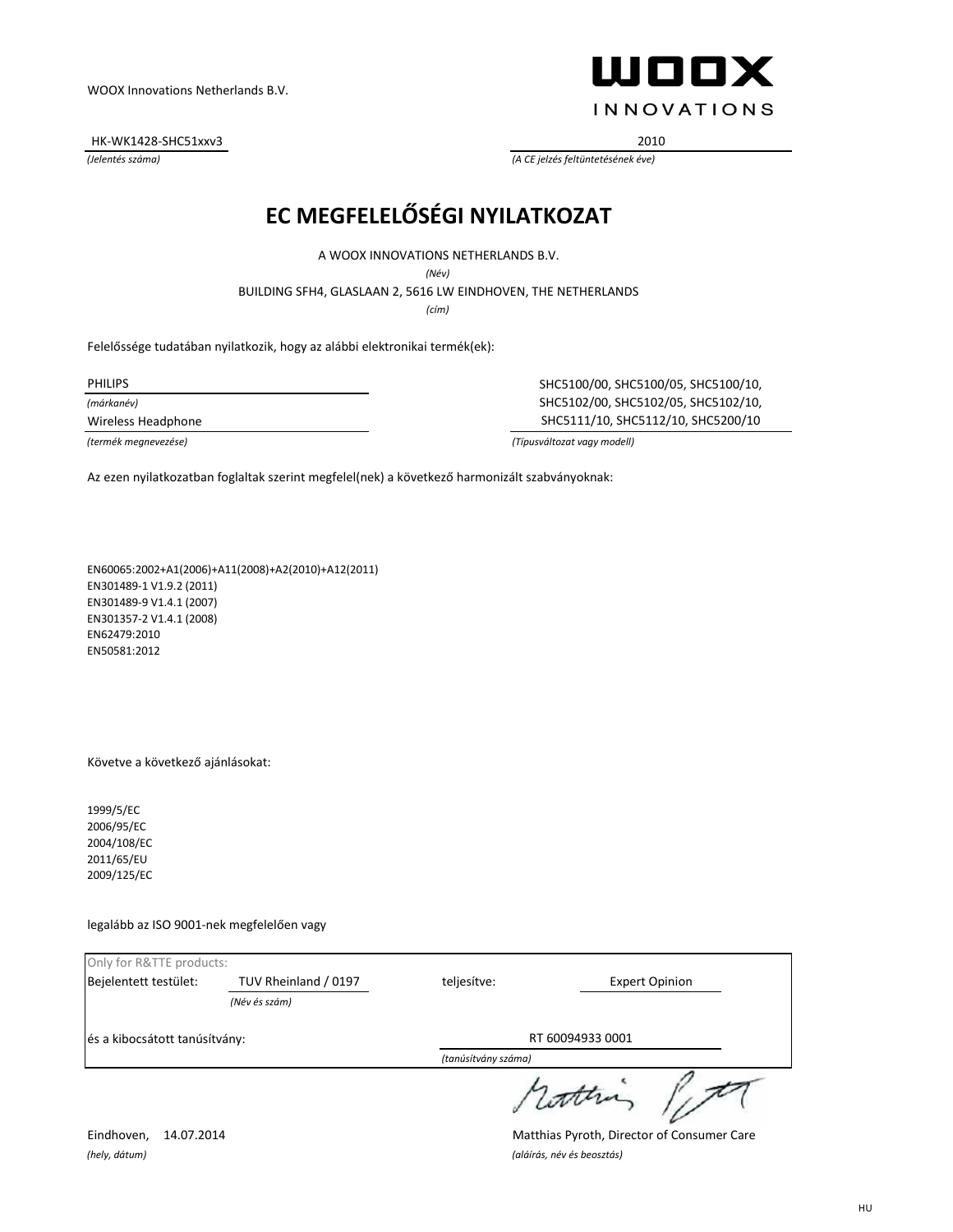HK-WK1428-SHC51xxv3 2010



*(Jelentés száma) (A CE jelzés feltüntetésének éve)*

# **EC MEGFELELŐSÉGI NYILATKOZAT**

A WOOX INNOVATIONS NETHERLANDS B.V.

*(Név)*

BUILDING SFH4, GLASLAAN 2, 5616 LW EINDHOVEN, THE NETHERLANDS

*(cím)*

Felelőssége tudatában nyilatkozik, hogy az alábbi elektronikai termék(ek):

*(márkanév)*

PHILIPS SHC5100/00, SHC5100/05, SHC5100/10, SHC5102/00, SHC5102/05, SHC5102/10, Wireless Headphone SHC5111/10, SHC5112/10, SHC5200/10

*(termék megnevezése) (Típusváltozat vagy modell)*

Az ezen nyilatkozatban foglaltak szerint megfelel(nek) a következő harmonizált szabványoknak:

EN60065:2002+A1(2006)+A11(2008)+A2(2010)+A12(2011) EN301489-1 V1.9.2 (2011) EN301489-9 V1.4.1 (2007) EN301357-2 V1.4.1 (2008) EN62479:2010 EN50581:2012

Követve a következő ajánlásokat:

1999/5/EC 2006/95/EC 2004/108/EC 2011/65/EU 2009/125/EC

legalább az ISO 9001-nek megfelelően vagy

| Only for R&TTE products:      |                                       |                                      |  |
|-------------------------------|---------------------------------------|--------------------------------------|--|
| Bejelentett testület:         | TUV Rheinland / 0197<br>(Név és szám) | teljesítve:<br><b>Expert Opinion</b> |  |
| és a kibocsátott tanúsítvány: |                                       | RT 60094933 0001                     |  |
|                               |                                       | (tanúsítvány száma)                  |  |
|                               |                                       |                                      |  |

*(hely, dátum) (aláírás, név és beosztás)*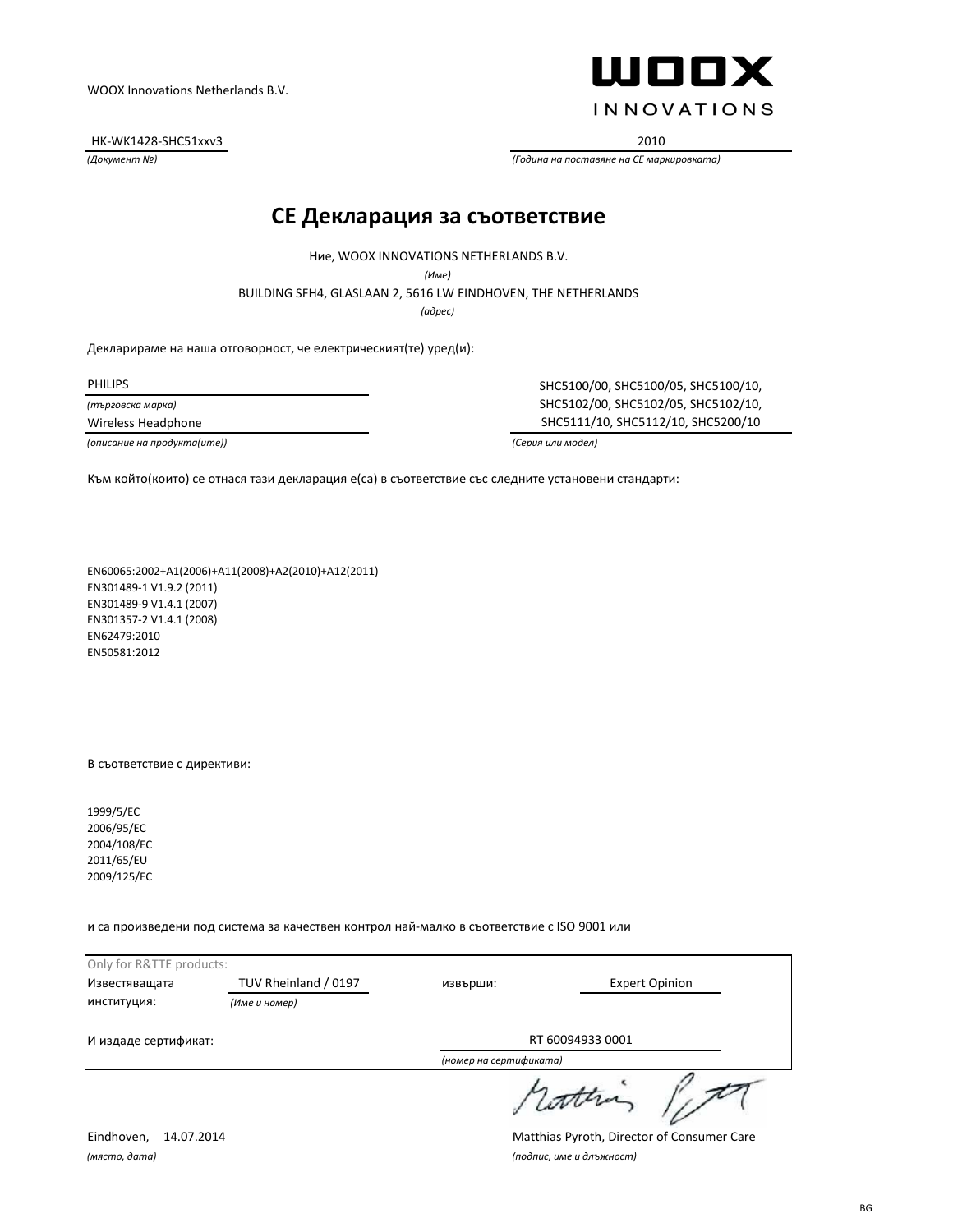HK-WK1428-SHC51xxv3 2010



*(Документ №) (Година на поставяне на CE маркировката)*

#### **CE Декларация за съответствие**

Ние, WOOX INNOVATIONS NETHERLANDS B.V.

*(Име)*

BUILDING SFH4, GLASLAAN 2, 5616 LW EINDHOVEN, THE NETHERLANDS

*(адрес)*

Декларираме на наша отговорност, че електрическият(те) уред(и):

*(търговска марка)*

*(описание на продукта(ите)) (Серия или модел)*

PHILIPS SHC5100/00, SHC5100/05, SHC5100/10, SHC5102/00, SHC5102/05, SHC5102/10, Wireless Headphone SHC5111/10, SHC5112/10, SHC5200/10

Към който(които) се отнася тази декларация е(са) в съответствие със следните установени стандарти:

EN60065:2002+A1(2006)+A11(2008)+A2(2010)+A12(2011) EN301489-1 V1.9.2 (2011) EN301489-9 V1.4.1 (2007) EN301357-2 V1.4.1 (2008) EN62479:2010 EN50581:2012

В съответствие с директиви:

1999/5/EC 2006/95/EC 2004/108/EC 2011/65/EU 2009/125/EC

и са произведени под система за качествен контрол най-малко в съответствие с ISO 9001 или

| Only for R&TTE products: |                      |                        |                       |
|--------------------------|----------------------|------------------------|-----------------------|
| Известяващата            | TUV Rheinland / 0197 | извърши:               | <b>Expert Opinion</b> |
| ИНСТИТУЦИЯ:              | (Име и номер)        |                        |                       |
| И издаде сертификат:     |                      | RT 60094933 0001       |                       |
|                          |                      | (номер на сертификата) |                       |
|                          |                      | cather                 |                       |

*(място, дата) (подпис, име и длъжност)*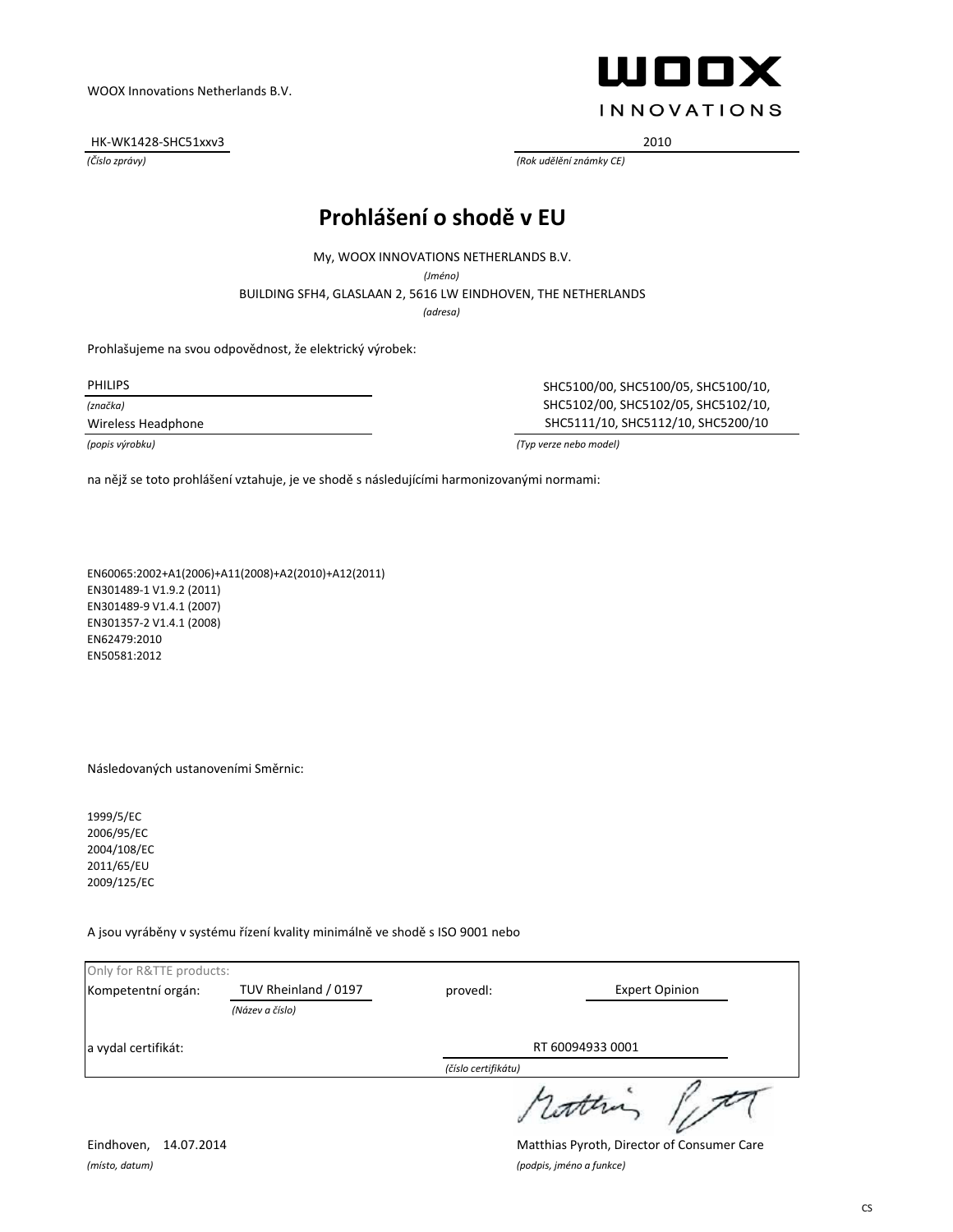HK-WK1428-SHC51xxv3 2010



*(Číslo zprávy) (Rok udělění známky CE)*

# **Prohlášení o shodě v EU**

My, WOOX INNOVATIONS NETHERLANDS B.V.

*(Jméno)*

BUILDING SFH4, GLASLAAN 2, 5616 LW EINDHOVEN, THE NETHERLANDS

*(adresa)*

Prohlašujeme na svou odpovědnost, že elektrický výrobek:

*(značka)*

PHILIPS SHC5100/00, SHC5100/05, SHC5100/10, SHC5102/00, SHC5102/05, SHC5102/10, Wireless Headphone SHC5111/10, SHC5112/10, SHC5200/10

*(popis výrobku) (Typ verze nebo model)*

na nějž se toto prohlášení vztahuje, je ve shodě s následujícími harmonizovanými normami:

EN60065:2002+A1(2006)+A11(2008)+A2(2010)+A12(2011) EN301489-1 V1.9.2 (2011) EN301489-9 V1.4.1 (2007) EN301357-2 V1.4.1 (2008) EN62479:2010 EN50581:2012

Následovaných ustanoveními Směrnic:

1999/5/EC 2006/95/EC 2004/108/EC 2011/65/EU 2009/125/EC

A jsou vyráběny v systému řízení kvality minimálně ve shodě s ISO 9001 nebo

| Only for R&TTE products: |                      |                     |                       |
|--------------------------|----------------------|---------------------|-----------------------|
| Kompetentní orgán:       | TUV Rheinland / 0197 | provedl:            | <b>Expert Opinion</b> |
|                          | (Název a číslo)      |                     |                       |
| a vydal certifikát:      |                      | RT 60094933 0001    |                       |
|                          |                      | (číslo certifikátu) |                       |
|                          |                      |                     | wonne                 |

*(místo, datum) (podpis, jméno a funkce)*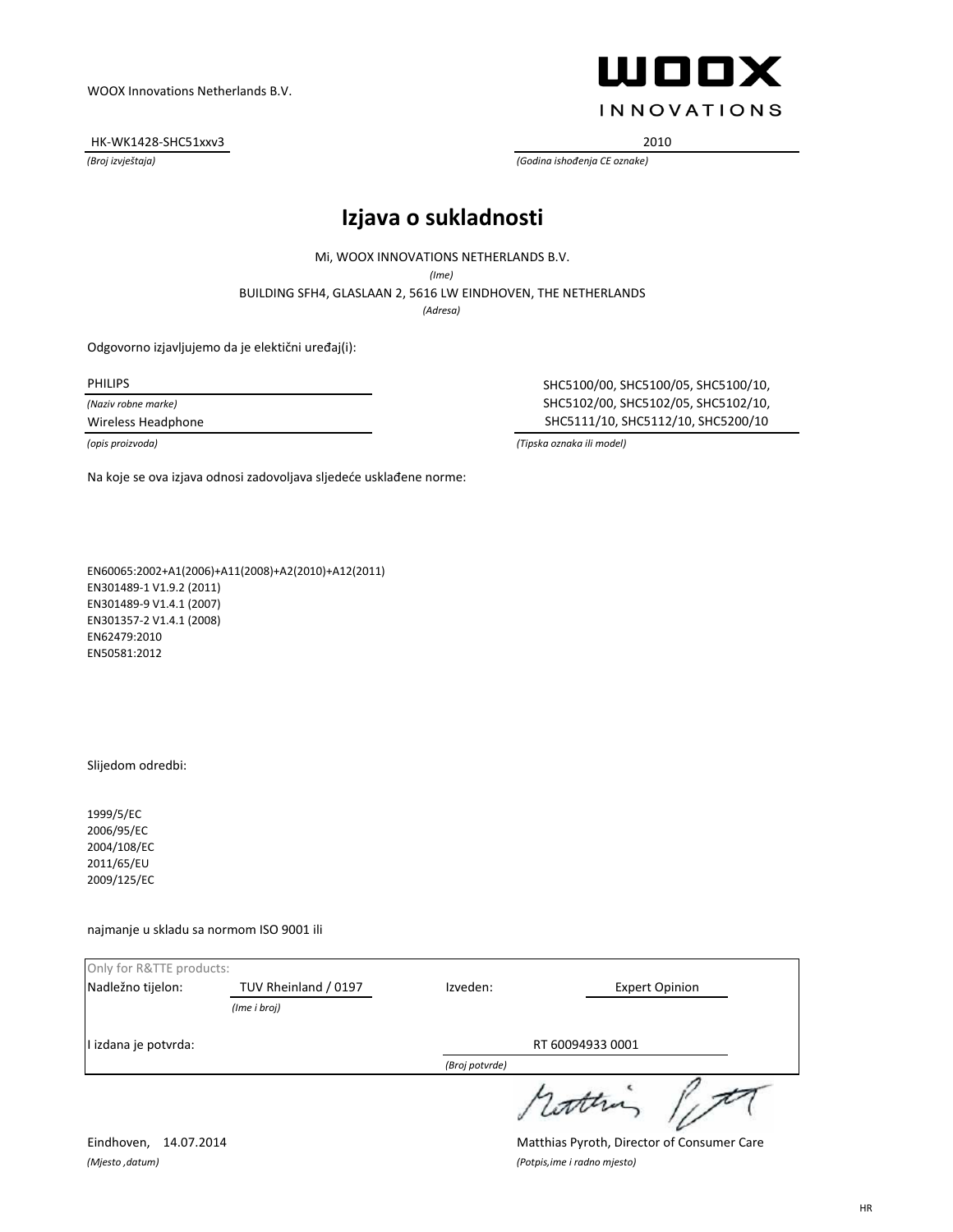HK-WK1428-SHC51xxv3 2010



*(Broj izvještaja) (Godina ishođenja CE oznake)*

#### **Izjava o sukladnosti**

Mi, WOOX INNOVATIONS NETHERLANDS B.V.

*(Ime)*

BUILDING SFH4, GLASLAAN 2, 5616 LW EINDHOVEN, THE NETHERLANDS

*(Adresa)*

Odgovorno izjavljujemo da je elektični uređaj(i):

*(Naziv robne marke)*

PHILIPS SHC5100/00, SHC5100/05, SHC5100/10, SHC5102/00, SHC5102/05, SHC5102/10, Wireless Headphone SHC5111/10, SHC5112/10, SHC5200/10

*(opis proizvoda) (Tipska oznaka ili model)*

Na koje se ova izjava odnosi zadovoljava sljedeće usklađene norme:

EN60065:2002+A1(2006)+A11(2008)+A2(2010)+A12(2011) EN301489-1 V1.9.2 (2011) EN301489-9 V1.4.1 (2007) EN301357-2 V1.4.1 (2008) EN62479:2010 EN50581:2012

Slijedom odredbi:

1999/5/EC 2006/95/EC 2004/108/EC 2011/65/EU 2009/125/EC

najmanje u skladu sa normom ISO 9001 ili

| Only for R&TTE products: |                      |                  |                       |
|--------------------------|----------------------|------------------|-----------------------|
| Nadležno tijelon:        | TUV Rheinland / 0197 | Izveden:         | <b>Expert Opinion</b> |
|                          | (Ime i broj)         |                  |                       |
| I izdana je potvrda:     |                      | RT 60094933 0001 |                       |
|                          |                      | (Broj potvrde)   |                       |
|                          |                      |                  | wonne                 |

*(Mjesto ,datum) (Potpis,ime i radno mjesto)*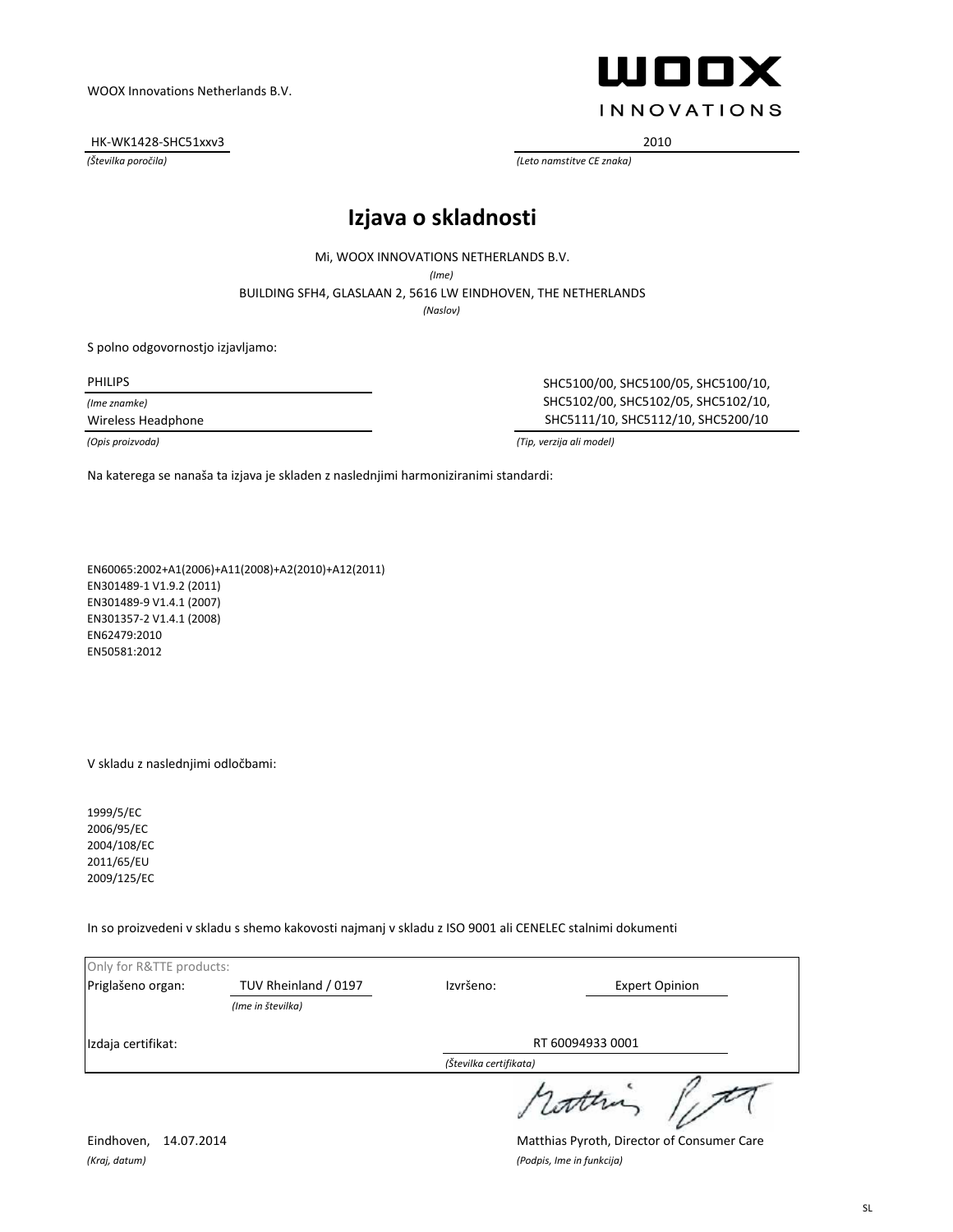HK-WK1428-SHC51xxv3 2010



*(Številka poročila) (Leto namstitve CE znaka)*

## **Izjava o skladnosti**

Mi, WOOX INNOVATIONS NETHERLANDS B.V.

*(Ime)*

BUILDING SFH4, GLASLAAN 2, 5616 LW EINDHOVEN, THE NETHERLANDS

*(Naslov)*

S polno odgovornostjo izjavljamo:

*(Ime znamke)*

PHILIPS SHC5100/00, SHC5100/05, SHC5100/10, SHC5102/00, SHC5102/05, SHC5102/10, Wireless Headphone SHC5111/10, SHC5112/10, SHC5200/10

*(Opis proizvoda) (Tip, verzija ali model)*

Na katerega se nanaša ta izjava je skladen z naslednjimi harmoniziranimi standardi:

EN60065:2002+A1(2006)+A11(2008)+A2(2010)+A12(2011) EN301489-1 V1.9.2 (2011) EN301489-9 V1.4.1 (2007) EN301357-2 V1.4.1 (2008) EN62479:2010 EN50581:2012

V skladu z naslednjimi odločbami:

1999/5/EC 2006/95/EC 2004/108/EC 2011/65/EU 2009/125/EC

In so proizvedeni v skladu s shemo kakovosti najmanj v skladu z ISO 9001 ali CENELEC stalnimi dokumenti

| Only for R&TTE products: |                      |                        |                       |
|--------------------------|----------------------|------------------------|-----------------------|
| Priglašeno organ:        | TUV Rheinland / 0197 | Izvršeno:              | <b>Expert Opinion</b> |
|                          | (Ime in številka)    |                        |                       |
| Izdaja certifikat:       |                      | RT 60094933 0001       |                       |
|                          |                      | (Številka certifikata) |                       |
|                          |                      |                        | 1 com                 |

*(Kraj, datum) (Podpis, Ime in funkcija)*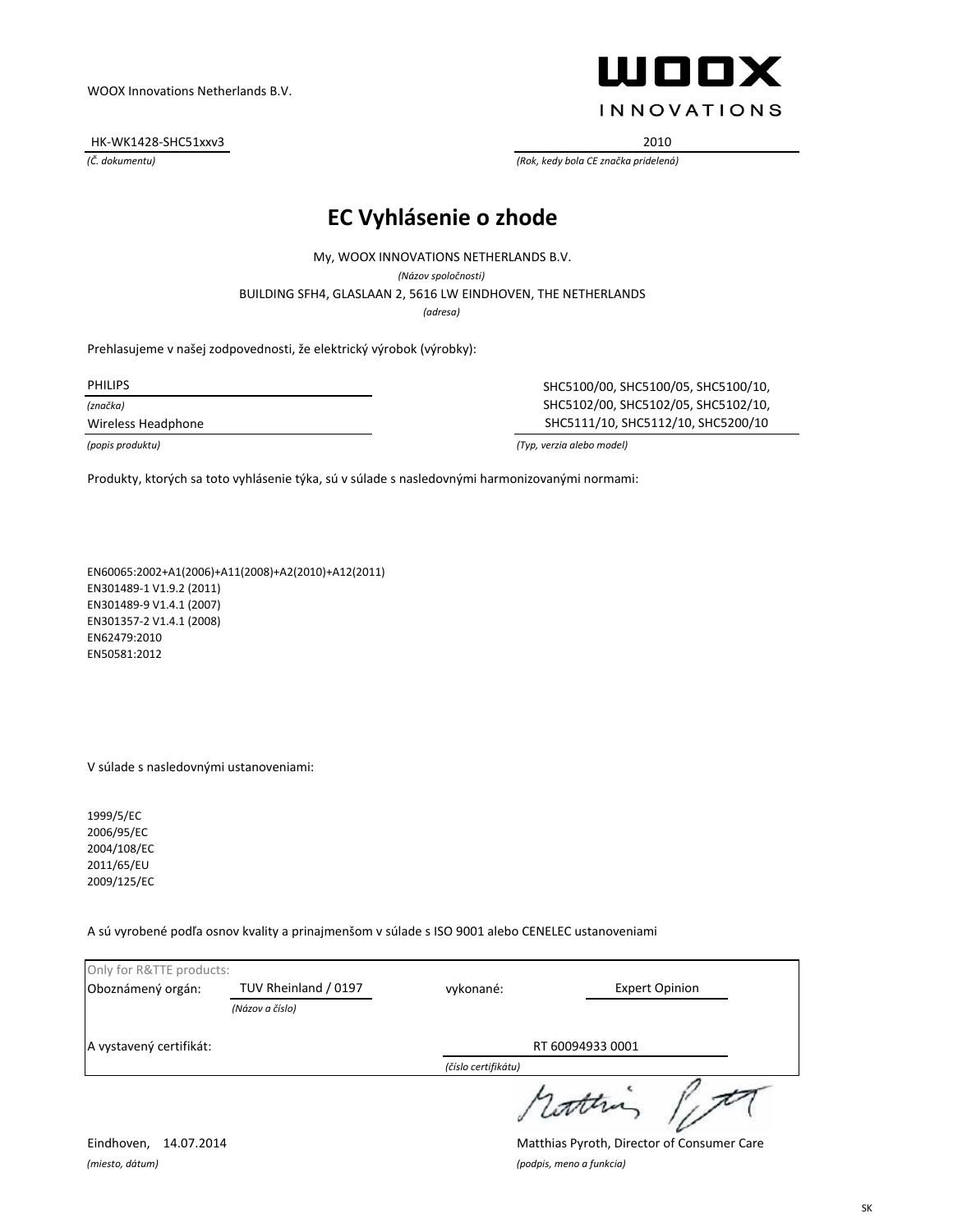HK-WK1428-SHC51xxv3 2010



*(Č. dokumentu) (Rok, kedy bola CE značka pridelená)*

## **EC Vyhlásenie o zhode**

*(adresa)* BUILDING SFH4, GLASLAAN 2, 5616 LW EINDHOVEN, THE NETHERLANDS My, WOOX INNOVATIONS NETHERLANDS B.V. *(Názov spoločnosti)*

Prehlasujeme v našej zodpovednosti, že elektrický výrobok (výrobky):

*(značka)*

PHILIPS SHC5100/00, SHC5100/05, SHC5100/10, SHC5102/00, SHC5102/05, SHC5102/10, Wireless Headphone SHC5111/10, SHC5112/10, SHC5200/10

*(popis produktu) (Typ, verzia alebo model)*

Produkty, ktorých sa toto vyhlásenie týka, sú v súlade s nasledovnými harmonizovanými normami:

EN60065:2002+A1(2006)+A11(2008)+A2(2010)+A12(2011) EN301489-1 V1.9.2 (2011) EN301489-9 V1.4.1 (2007) EN301357-2 V1.4.1 (2008) EN62479:2010 EN50581:2012

V súlade s nasledovnými ustanoveniami:

1999/5/EC 2006/95/EC 2004/108/EC 2011/65/EU 2009/125/EC

A sú vyrobené podľa osnov kvality a prinajmenšom v súlade s ISO 9001 alebo CENELEC ustanoveniami

| Only for R&TTE products: |                      |                     |                       |
|--------------------------|----------------------|---------------------|-----------------------|
| Oboznámený orgán:        | TUV Rheinland / 0197 | vykonané:           | <b>Expert Opinion</b> |
|                          | (Názov a číslo)      |                     |                       |
| A vystavený certifikát:  |                      | RT 60094933 0001    |                       |
|                          |                      | (číslo certifikátu) |                       |
|                          |                      |                     | 1 little              |

*(miesto, dátum) (podpis, meno a funkcia)*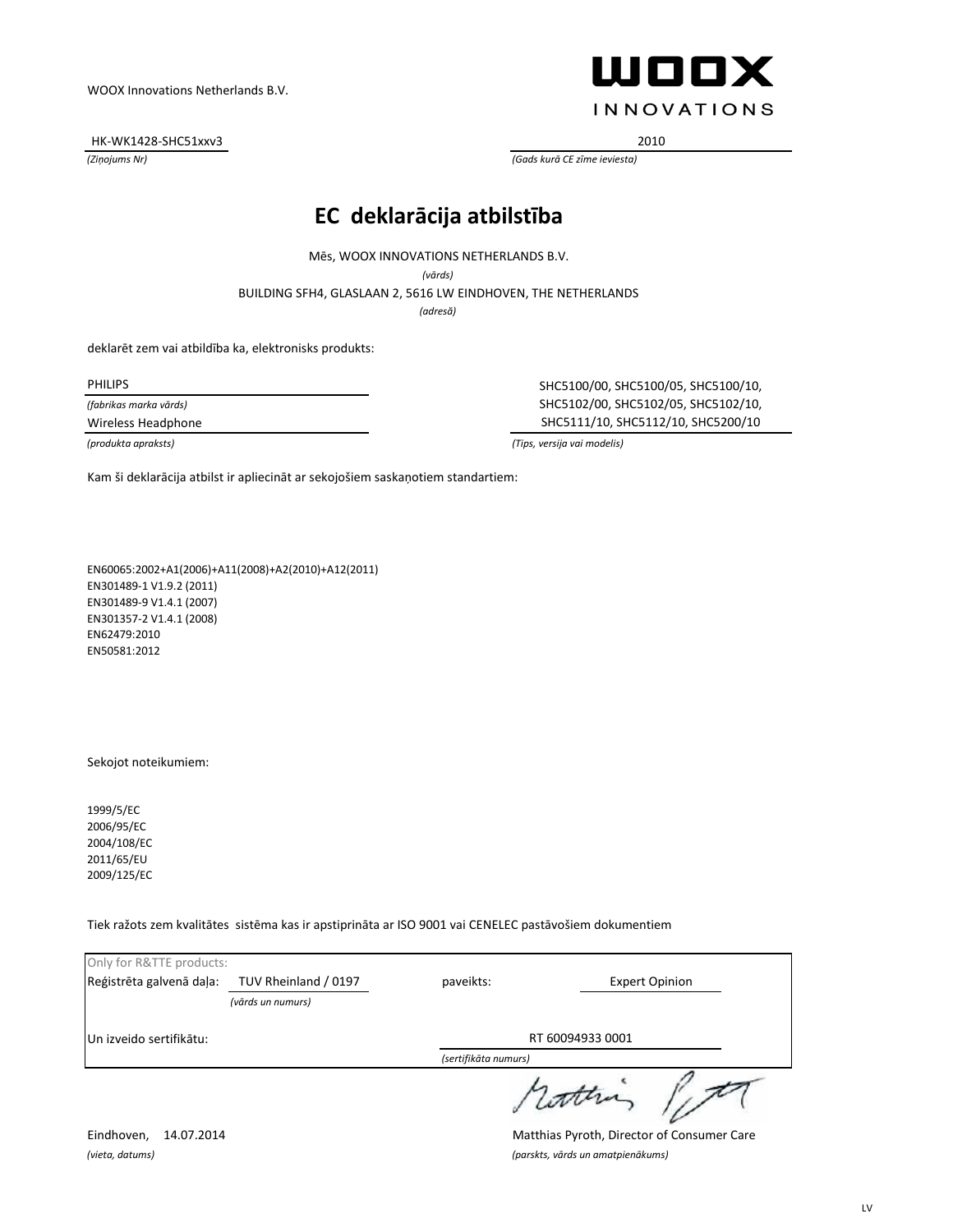HK-WK1428-SHC51xxv3 2010



*(Ziņojums Nr) (Gads kurā CE zīme ieviesta)*

### **EC deklarācija atbilstība**

Mēs, WOOX INNOVATIONS NETHERLANDS B.V.

*(vārds)*

BUILDING SFH4, GLASLAAN 2, 5616 LW EINDHOVEN, THE NETHERLANDS

*(adresă)*

deklarēt zem vai atbildība ka, elektronisks produkts:

*(fabrikas marka vārds)*

PHILIPS SHC5100/00, SHC5100/05, SHC5100/10, SHC5102/00, SHC5102/05, SHC5102/10, Wireless Headphone SHC5111/10, SHC5112/10, SHC5200/10

*(produkta apraksts) (Tips, versija vai modelis)*

Kam ši deklarācija atbilst ir apliecināt ar sekojošiem saskaņotiem standartiem:

EN60065:2002+A1(2006)+A11(2008)+A2(2010)+A12(2011) EN301489-1 V1.9.2 (2011) EN301489-9 V1.4.1 (2007) EN301357-2 V1.4.1 (2008) EN62479:2010 EN50581:2012

Sekojot noteikumiem:

1999/5/EC 2006/95/EC 2004/108/EC 2011/65/EU 2009/125/EC

Tiek ražots zem kvalitātes sistēma kas ir apstiprināta ar ISO 9001 vai CENELEC pastāvošiem dokumentiem

| Only for R&TTE products: |                                           |                      |                       |  |
|--------------------------|-------------------------------------------|----------------------|-----------------------|--|
| Reģistrēta galvenā daļa: | TUV Rheinland / 0197<br>(vārds un numurs) | paveikts:            | <b>Expert Opinion</b> |  |
| Un izveido sertifikātu:  |                                           | RT 60094933 0001     |                       |  |
|                          |                                           | (sertifikāta numurs) |                       |  |
|                          |                                           |                      | 1 latter              |  |

Eindhoven, 14.07.2014 Matthias Pyroth, Director of Consumer Care *(vieta, datums) (parskts, vārds un amatpienākums)*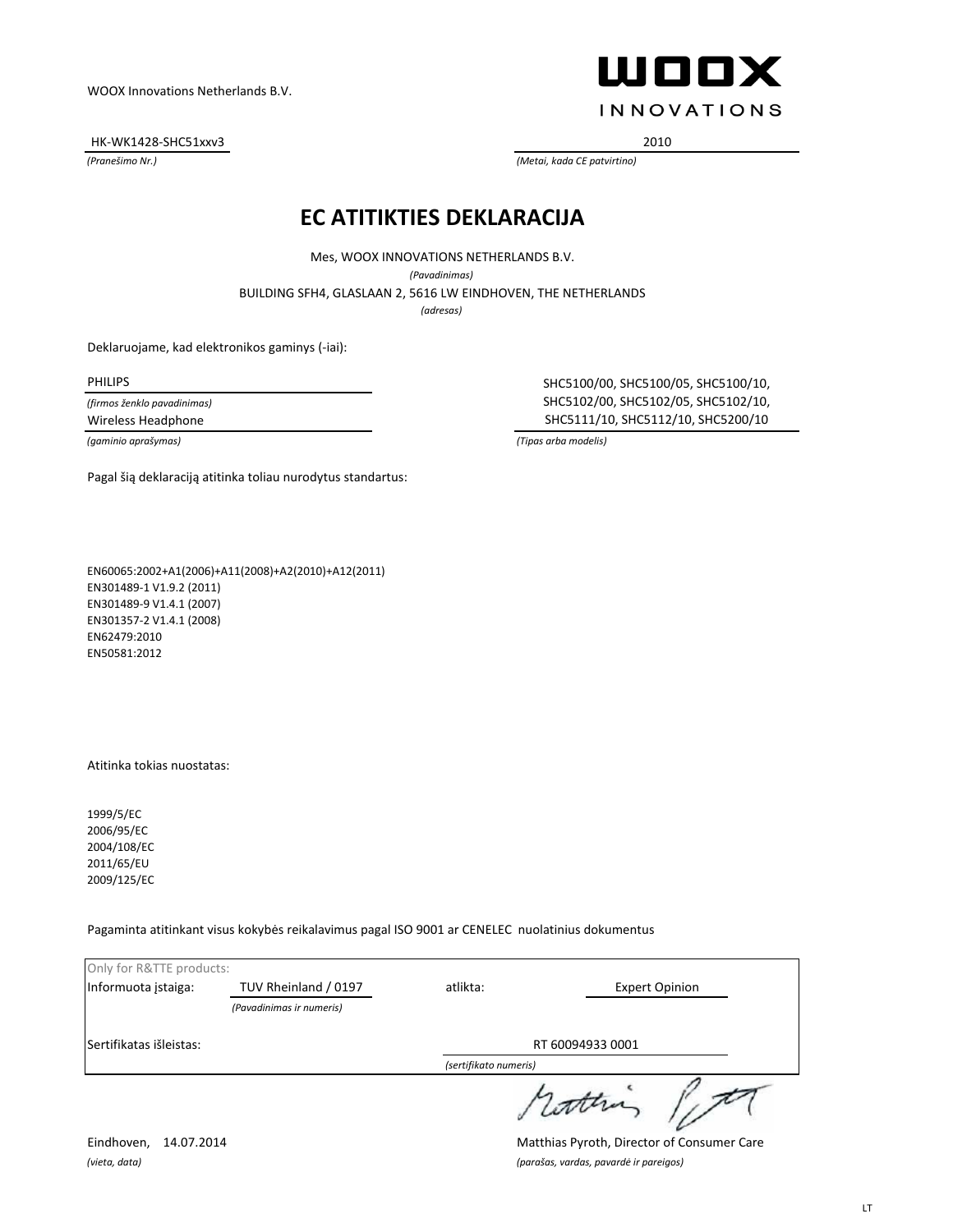HK-WK1428-SHC51xxv3 2010



*(Pranešimo Nr.) (Metai, kada CE patvirtino)*

#### **EC ATITIKTIES DEKLARACIJA**

*(adresas)* BUILDING SFH4, GLASLAAN 2, 5616 LW EINDHOVEN, THE NETHERLANDS Mes, WOOX INNOVATIONS NETHERLANDS B.V. *(Pavadinimas)*

Deklaruojame, kad elektronikos gaminys (-iai):

*(firmos ženklo pavadinimas)*

PHILIPS SHC5100/00, SHC5100/05, SHC5100/10, SHC5102/00, SHC5102/05, SHC5102/10, Wireless Headphone SHC5111/10, SHC5112/10, SHC5200/10

*(gaminio aprašymas) (Tipas arba modelis)*

Pagal šią deklaraciją atitinka toliau nurodytus standartus:

EN60065:2002+A1(2006)+A11(2008)+A2(2010)+A12(2011) EN301489-1 V1.9.2 (2011) EN301489-9 V1.4.1 (2007) EN301357-2 V1.4.1 (2008) EN62479:2010 EN50581:2012

Atitinka tokias nuostatas:

1999/5/EC 2006/95/EC 2004/108/EC 2011/65/EU 2009/125/EC

Pagaminta atitinkant visus kokybės reikalavimus pagal ISO 9001 ar CENELEC nuolatinius dokumentus

| Only for R&TTE products: |                          |                       |                       |
|--------------------------|--------------------------|-----------------------|-----------------------|
| Informuota įstaiga:      | TUV Rheinland / 0197     | atlikta:              | <b>Expert Opinion</b> |
|                          | (Pavadinimas ir numeris) |                       |                       |
| Sertifikatas išleistas:  | RT 60094933 0001         |                       |                       |
|                          |                          | (sertifikato numeris) |                       |
|                          |                          |                       | sutter                |

Eindhoven, 14.07.2014 Matthias Pyroth, Director of Consumer Care *(vieta, data) (parašas, vardas, pavardė ir pareigos)*